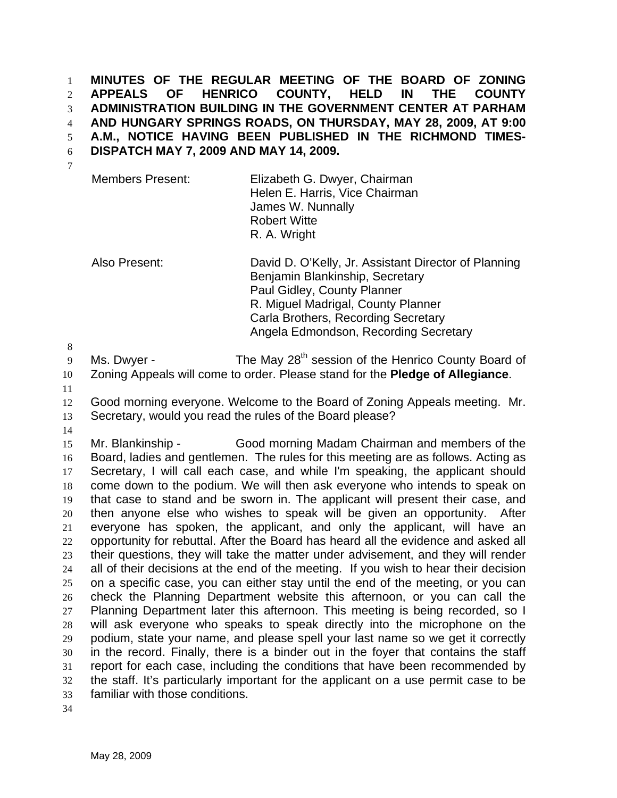**MINUTES OF THE REGULAR MEETING OF THE BOARD OF ZONING APPEALS OF HENRICO COUNTY, HELD IN THE COUNTY ADMINISTRATION BUILDING IN THE GOVERNMENT CENTER AT PARHAM AND HUNGARY SPRINGS ROADS, ON THURSDAY, MAY 28, 2009, AT 9:00 A.M., NOTICE HAVING BEEN PUBLISHED IN THE RICHMOND TIMES-DISPATCH MAY 7, 2009 AND MAY 14, 2009.**  1 2 3 4 5 6 7

| <b>Members Present:</b> | Elizabeth G. Dwyer, Chairman<br>Helen E. Harris, Vice Chairman |
|-------------------------|----------------------------------------------------------------|
|                         | James W. Nunnally                                              |
|                         | <b>Robert Witte</b>                                            |
|                         | R. A. Wright                                                   |

Also Present: David D. O'Kelly, Jr. Assistant Director of Planning Benjamin Blankinship, Secretary Paul Gidley, County Planner R. Miguel Madrigal, County Planner Carla Brothers, Recording Secretary Angela Edmondson, Recording Secretary

8

9 Ms. Dwyer - The May 28<sup>th</sup> session of the Henrico County Board of

- 10 Zoning Appeals will come to order. Please stand for the **Pledge of Allegiance**.
- 11

12 13 Good morning everyone. Welcome to the Board of Zoning Appeals meeting. Mr. Secretary, would you read the rules of the Board please?

14

15 16 17 18 19 20 21 22 23 24 25 26 27 28 29 30 31 32 33 Mr. Blankinship - Good morning Madam Chairman and members of the Board, ladies and gentlemen. The rules for this meeting are as follows. Acting as Secretary, I will call each case, and while I'm speaking, the applicant should come down to the podium. We will then ask everyone who intends to speak on that case to stand and be sworn in. The applicant will present their case, and then anyone else who wishes to speak will be given an opportunity. After everyone has spoken, the applicant, and only the applicant, will have an opportunity for rebuttal. After the Board has heard all the evidence and asked all their questions, they will take the matter under advisement, and they will render all of their decisions at the end of the meeting. If you wish to hear their decision on a specific case, you can either stay until the end of the meeting, or you can check the Planning Department website this afternoon, or you can call the Planning Department later this afternoon. This meeting is being recorded, so I will ask everyone who speaks to speak directly into the microphone on the podium, state your name, and please spell your last name so we get it correctly in the record. Finally, there is a binder out in the foyer that contains the staff report for each case, including the conditions that have been recommended by the staff. It's particularly important for the applicant on a use permit case to be familiar with those conditions.

34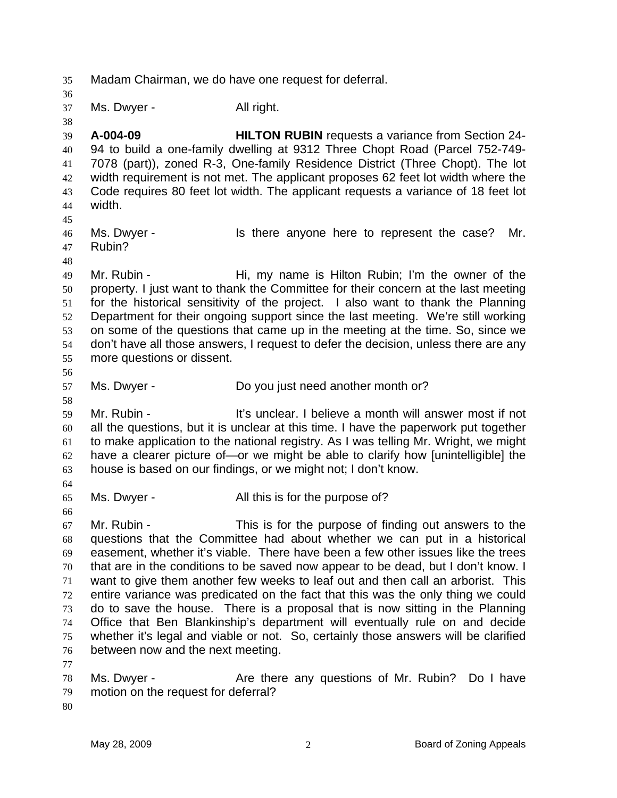35 Madam Chairman, we do have one request for deferral. 36 37 38 39 40 41 42 43 44 45 46 47 48 49 50 51 52 53 54 55 56 57 58 59 60 61 62 63 64 65 66 67 68 69 70 71 72 73 74 75 76 77 78 79 80 Ms. Dwyer - All right. **A-004-09 HILTON RUBIN** requests a variance from Section 24- 94 to build a one-family dwelling at 9312 Three Chopt Road (Parcel 752-749- 7078 (part)), zoned R-3, One-family Residence District (Three Chopt). The lot width requirement is not met. The applicant proposes 62 feet lot width where the Code requires 80 feet lot width. The applicant requests a variance of 18 feet lot width. Ms. Dwyer - The state of the represent the case? Mr. Rubin? Mr. Rubin - Hi, my name is Hilton Rubin; I'm the owner of the property. I just want to thank the Committee for their concern at the last meeting for the historical sensitivity of the project. I also want to thank the Planning Department for their ongoing support since the last meeting. We're still working on some of the questions that came up in the meeting at the time. So, since we don't have all those answers, I request to defer the decision, unless there are any more questions or dissent. Ms. Dwyer - Do you just need another month or? Mr. Rubin - The Muslim Clies of the Unit of the Unit of the Unit of the Unit of the Unit of the Unit of the Unit A all the questions, but it is unclear at this time. I have the paperwork put together to make application to the national registry. As I was telling Mr. Wright, we might have a clearer picture of—or we might be able to clarify how [unintelligible] the house is based on our findings, or we might not; I don't know. Ms. Dwyer - The All this is for the purpose of? Mr. Rubin - This is for the purpose of finding out answers to the questions that the Committee had about whether we can put in a historical easement, whether it's viable. There have been a few other issues like the trees that are in the conditions to be saved now appear to be dead, but I don't know. I want to give them another few weeks to leaf out and then call an arborist. This entire variance was predicated on the fact that this was the only thing we could do to save the house. There is a proposal that is now sitting in the Planning Office that Ben Blankinship's department will eventually rule on and decide whether it's legal and viable or not. So, certainly those answers will be clarified between now and the next meeting. Ms. Dwyer - Are there any questions of Mr. Rubin? Do I have motion on the request for deferral?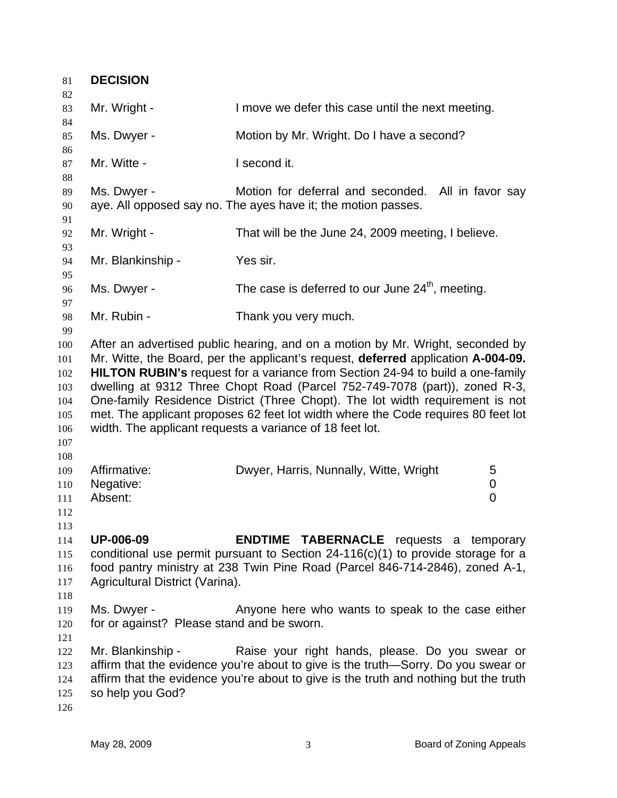| 81                                                          | <b>DECISION</b>                                           |                                                                                                                                                                                                                                                                                                                                                                                                                                                                                                                                                                              |
|-------------------------------------------------------------|-----------------------------------------------------------|------------------------------------------------------------------------------------------------------------------------------------------------------------------------------------------------------------------------------------------------------------------------------------------------------------------------------------------------------------------------------------------------------------------------------------------------------------------------------------------------------------------------------------------------------------------------------|
| 82<br>83<br>84                                              | Mr. Wright -                                              | I move we defer this case until the next meeting.                                                                                                                                                                                                                                                                                                                                                                                                                                                                                                                            |
| 85<br>86                                                    | Ms. Dwyer -                                               | Motion by Mr. Wright. Do I have a second?                                                                                                                                                                                                                                                                                                                                                                                                                                                                                                                                    |
| 87<br>88                                                    | Mr. Witte -                                               | I second it.                                                                                                                                                                                                                                                                                                                                                                                                                                                                                                                                                                 |
| 89<br>90<br>91                                              | Ms. Dwyer -                                               | Motion for deferral and seconded. All in favor say<br>aye. All opposed say no. The ayes have it; the motion passes.                                                                                                                                                                                                                                                                                                                                                                                                                                                          |
| 92                                                          | Mr. Wright -                                              | That will be the June 24, 2009 meeting, I believe.                                                                                                                                                                                                                                                                                                                                                                                                                                                                                                                           |
| 93<br>94                                                    | Mr. Blankinship -                                         | Yes sir.                                                                                                                                                                                                                                                                                                                                                                                                                                                                                                                                                                     |
| 95<br>96<br>97                                              | Ms. Dwyer -                                               | The case is deferred to our June 24 <sup>th</sup> , meeting.                                                                                                                                                                                                                                                                                                                                                                                                                                                                                                                 |
| 98<br>99                                                    | Mr. Rubin -                                               | Thank you very much.                                                                                                                                                                                                                                                                                                                                                                                                                                                                                                                                                         |
| 100<br>101<br>102<br>103<br>104<br>105<br>106<br>107<br>108 |                                                           | After an advertised public hearing, and on a motion by Mr. Wright, seconded by<br>Mr. Witte, the Board, per the applicant's request, deferred application A-004-09.<br><b>HILTON RUBIN's request for a variance from Section 24-94 to build a one-family</b><br>dwelling at 9312 Three Chopt Road (Parcel 752-749-7078 (part)), zoned R-3,<br>One-family Residence District (Three Chopt). The lot width requirement is not<br>met. The applicant proposes 62 feet lot width where the Code requires 80 feet lot<br>width. The applicant requests a variance of 18 feet lot. |
| 109<br>110<br>111<br>112                                    | Affirmative:<br>Negative:<br>Absent:                      | Dwyer, Harris, Nunnally, Witte, Wright<br>5<br>0<br>$\overline{0}$                                                                                                                                                                                                                                                                                                                                                                                                                                                                                                           |
| 113<br>114<br>115<br>116<br>117<br>118                      | <b>UP-006-09</b><br>Agricultural District (Varina).       | <b>ENDTIME TABERNACLE</b> requests a temporary<br>conditional use permit pursuant to Section $24-116(c)(1)$ to provide storage for a<br>food pantry ministry at 238 Twin Pine Road (Parcel 846-714-2846), zoned A-1,                                                                                                                                                                                                                                                                                                                                                         |
| 119<br>120                                                  | Ms. Dwyer -<br>for or against? Please stand and be sworn. | Anyone here who wants to speak to the case either                                                                                                                                                                                                                                                                                                                                                                                                                                                                                                                            |
| 121<br>122<br>123<br>124<br>125<br>126                      | Mr. Blankinship -<br>so help you God?                     | Raise your right hands, please. Do you swear or<br>affirm that the evidence you're about to give is the truth—Sorry. Do you swear or<br>affirm that the evidence you're about to give is the truth and nothing but the truth                                                                                                                                                                                                                                                                                                                                                 |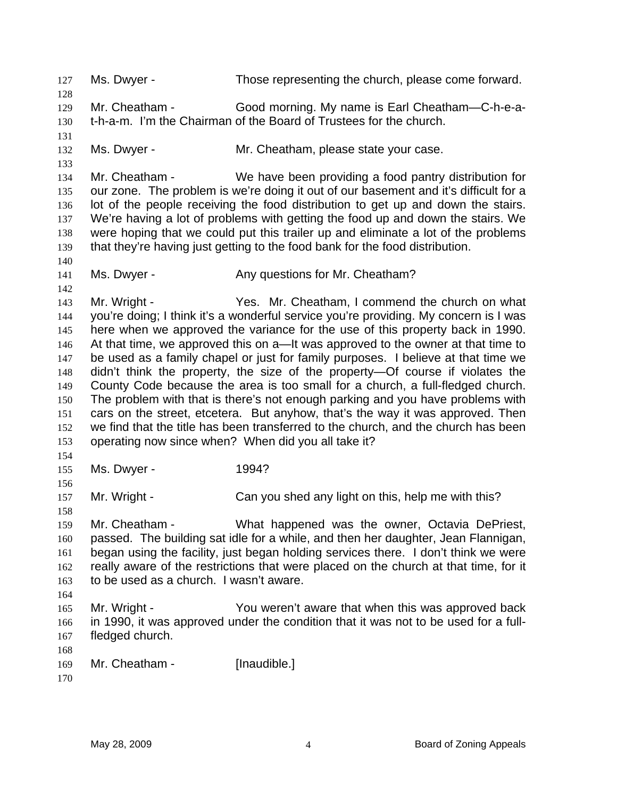127 Ms. Dwyer - Those representing the church, please come forward. 128 129 130 131 132 133 134 135 136 137 138 139 140 141 142 143 144 145 146 147 148 149 150 151 152 153 154 155 156 157 158 159 160 161 162 163 164 165 166 167 168 169 170 Mr. Cheatham - Good morning. My name is Earl Cheatham—C-h-e-at-h-a-m. I'm the Chairman of the Board of Trustees for the church. Ms. Dwyer - **Mr. Cheatham, please state your case.** Mr. Cheatham - We have been providing a food pantry distribution for our zone. The problem is we're doing it out of our basement and it's difficult for a lot of the people receiving the food distribution to get up and down the stairs. We're having a lot of problems with getting the food up and down the stairs. We were hoping that we could put this trailer up and eliminate a lot of the problems that they're having just getting to the food bank for the food distribution. Ms. Dwyer - Any questions for Mr. Cheatham? Mr. Wright - Yes. Mr. Cheatham, I commend the church on what you're doing; I think it's a wonderful service you're providing. My concern is I was here when we approved the variance for the use of this property back in 1990. At that time, we approved this on a—It was approved to the owner at that time to be used as a family chapel or just for family purposes. I believe at that time we didn't think the property, the size of the property—Of course if violates the County Code because the area is too small for a church, a full-fledged church. The problem with that is there's not enough parking and you have problems with cars on the street, etcetera. But anyhow, that's the way it was approved. Then we find that the title has been transferred to the church, and the church has been operating now since when? When did you all take it? Ms. Dwyer - 1994? Mr. Wright - Can you shed any light on this, help me with this? Mr. Cheatham - What happened was the owner, Octavia DePriest, passed. The building sat idle for a while, and then her daughter, Jean Flannigan, began using the facility, just began holding services there. I don't think we were really aware of the restrictions that were placed on the church at that time, for it to be used as a church. I wasn't aware. Mr. Wright - You weren't aware that when this was approved back in 1990, it was approved under the condition that it was not to be used for a fullfledged church. Mr. Cheatham - [Inaudible.]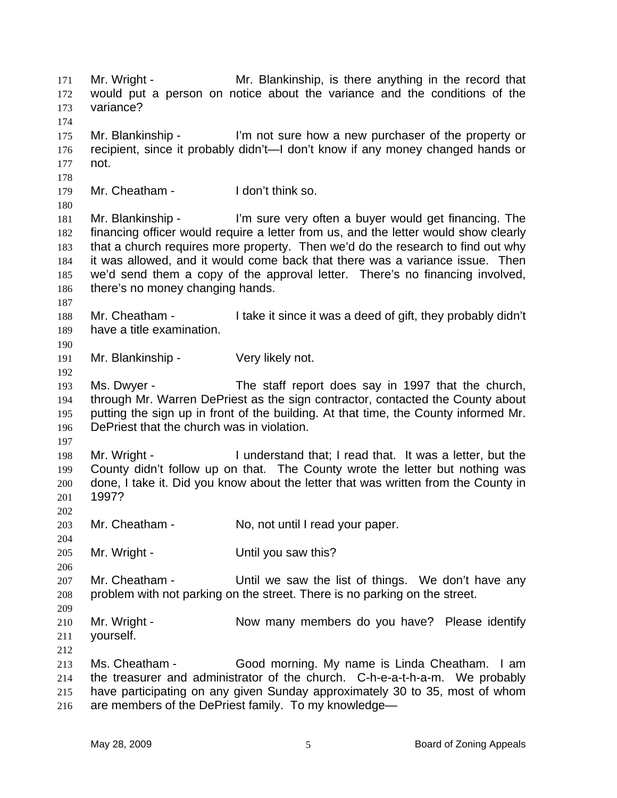Mr. Wright - Mr. Blankinship, is there anything in the record that would put a person on notice about the variance and the conditions of the variance? 171 172 173 174 175 176 177 178 179 180 181 182 183 184 185 186 187 188 189 190 191 192 193 194 195 196 197 198 199 200 201 202 203 204 205 206 207 208 209 210 211 212 213 214 215 216 Mr. Blankinship - I'm not sure how a new purchaser of the property or recipient, since it probably didn't—I don't know if any money changed hands or not. Mr. Cheatham - I don't think so. Mr. Blankinship - I'm sure very often a buyer would get financing. The financing officer would require a letter from us, and the letter would show clearly that a church requires more property. Then we'd do the research to find out why it was allowed, and it would come back that there was a variance issue. Then we'd send them a copy of the approval letter. There's no financing involved, there's no money changing hands. Mr. Cheatham - I take it since it was a deed of gift, they probably didn't have a title examination. Mr. Blankinship - Very likely not. Ms. Dwyer - The staff report does say in 1997 that the church, through Mr. Warren DePriest as the sign contractor, contacted the County about putting the sign up in front of the building. At that time, the County informed Mr. DePriest that the church was in violation. Mr. Wright - I understand that; I read that. It was a letter, but the County didn't follow up on that. The County wrote the letter but nothing was done, I take it. Did you know about the letter that was written from the County in 1997? Mr. Cheatham - No, not until I read your paper. Mr. Wright - Until you saw this? Mr. Cheatham - The Until we saw the list of things. We don't have any problem with not parking on the street. There is no parking on the street. Mr. Wright - Now many members do you have? Please identify yourself. Ms. Cheatham - Good morning. My name is Linda Cheatham. I am the treasurer and administrator of the church. C-h-e-a-t-h-a-m. We probably have participating on any given Sunday approximately 30 to 35, most of whom are members of the DePriest family. To my knowledge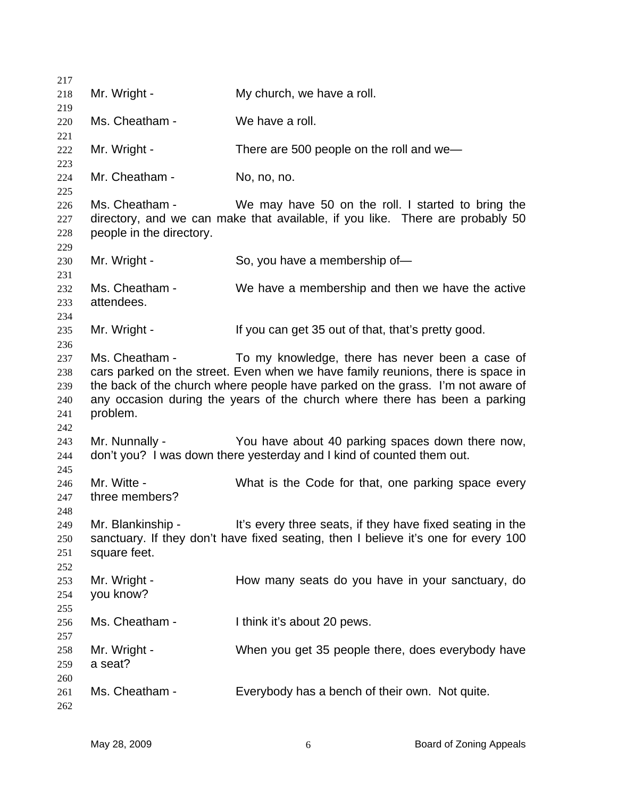Mr. Wright - My church, we have a roll. Ms. Cheatham - We have a roll. Mr. Wright - There are 500 people on the roll and we-Mr. Cheatham - No, no, no. Ms. Cheatham - We may have 50 on the roll. I started to bring the directory, and we can make that available, if you like. There are probably 50 people in the directory. Mr. Wright - So, you have a membership of-Ms. Cheatham - We have a membership and then we have the active attendees. Mr. Wright - The Mexican get 35 out of that, that's pretty good. Ms. Cheatham - To my knowledge, there has never been a case of cars parked on the street. Even when we have family reunions, there is space in the back of the church where people have parked on the grass. I'm not aware of any occasion during the years of the church where there has been a parking problem. Mr. Nunnally - You have about 40 parking spaces down there now, don't you? I was down there yesterday and I kind of counted them out. Mr. Witte - What is the Code for that, one parking space every three members? Mr. Blankinship - It's every three seats, if they have fixed seating in the sanctuary. If they don't have fixed seating, then I believe it's one for every 100 square feet. Mr. Wright - How many seats do you have in your sanctuary, do you know? Ms. Cheatham - Ithink it's about 20 pews. Mr. Wright - When you get 35 people there, does everybody have a seat? Ms. Cheatham - Everybody has a bench of their own. Not quite.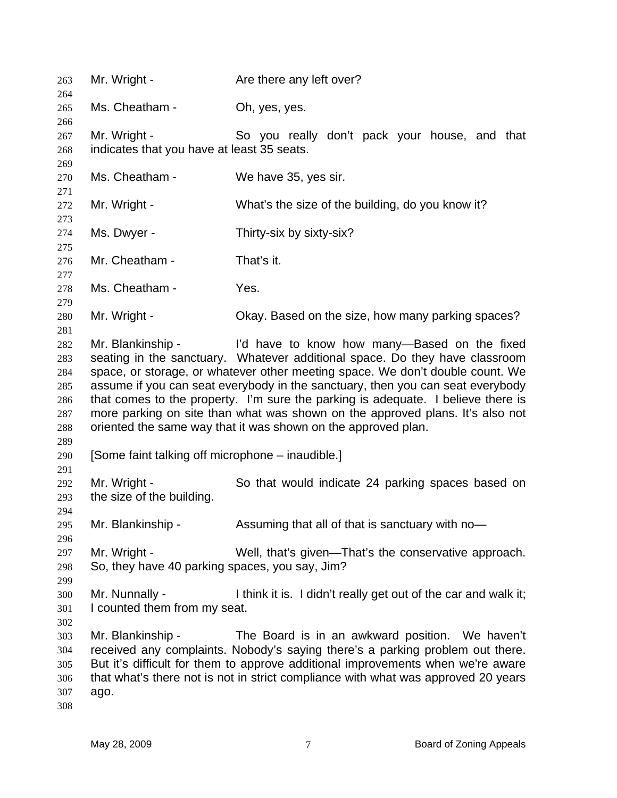| 263<br>264 | Mr. Wright -                                     | Are there any left over?                                                                                                                                         |
|------------|--------------------------------------------------|------------------------------------------------------------------------------------------------------------------------------------------------------------------|
| 265        | Ms. Cheatham -                                   | Oh, yes, yes.                                                                                                                                                    |
| 266        | Mr. Wright -                                     | So you really don't pack your house, and that                                                                                                                    |
| 267        | indicates that you have at least 35 seats.       |                                                                                                                                                                  |
| 268        |                                                  |                                                                                                                                                                  |
| 269<br>270 | Ms. Cheatham -                                   | We have 35, yes sir.                                                                                                                                             |
| 271        |                                                  |                                                                                                                                                                  |
| 272        | Mr. Wright -                                     | What's the size of the building, do you know it?                                                                                                                 |
| 273        |                                                  |                                                                                                                                                                  |
| 274        | Ms. Dwyer -                                      | Thirty-six by sixty-six?                                                                                                                                         |
| 275        |                                                  |                                                                                                                                                                  |
| 276        | Mr. Cheatham -                                   | That's it.                                                                                                                                                       |
| 277        |                                                  |                                                                                                                                                                  |
| 278        | Ms. Cheatham -                                   | Yes.                                                                                                                                                             |
| 279        |                                                  |                                                                                                                                                                  |
| 280        | Mr. Wright -                                     | Okay. Based on the size, how many parking spaces?                                                                                                                |
| 281        |                                                  |                                                                                                                                                                  |
| 282        | Mr. Blankinship -                                | I'd have to know how many-Based on the fixed                                                                                                                     |
| 283        |                                                  | seating in the sanctuary. Whatever additional space. Do they have classroom                                                                                      |
| 284        |                                                  | space, or storage, or whatever other meeting space. We don't double count. We                                                                                    |
| 285        |                                                  | assume if you can seat everybody in the sanctuary, then you can seat everybody                                                                                   |
| 286        |                                                  | that comes to the property. I'm sure the parking is adequate. I believe there is                                                                                 |
| 287        |                                                  | more parking on site than what was shown on the approved plans. It's also not                                                                                    |
| 288        |                                                  | oriented the same way that it was shown on the approved plan.                                                                                                    |
| 289        |                                                  |                                                                                                                                                                  |
| 290        | [Some faint talking off microphone – inaudible.] |                                                                                                                                                                  |
| 291        |                                                  |                                                                                                                                                                  |
| 292        | Mr. Wright -                                     | So that would indicate 24 parking spaces based on                                                                                                                |
| 293        | the size of the building.                        |                                                                                                                                                                  |
| 294        |                                                  |                                                                                                                                                                  |
| 295        | Mr. Blankinship -                                | Assuming that all of that is sanctuary with no-                                                                                                                  |
| 296        |                                                  |                                                                                                                                                                  |
| 297        | Mr. Wright -                                     | Well, that's given—That's the conservative approach.                                                                                                             |
| 298        | So, they have 40 parking spaces, you say, Jim?   |                                                                                                                                                                  |
| 299        |                                                  |                                                                                                                                                                  |
| 300        | Mr. Nunnally -                                   | I think it is. I didn't really get out of the car and walk it;                                                                                                   |
| 301        | I counted them from my seat.                     |                                                                                                                                                                  |
| 302        |                                                  |                                                                                                                                                                  |
| 303        | Mr. Blankinship -                                | The Board is in an awkward position. We haven't                                                                                                                  |
| 304        |                                                  | received any complaints. Nobody's saying there's a parking problem out there.<br>But it's difficult for them to approve additional improvements when we're aware |
| 305<br>306 |                                                  | that what's there not is not in strict compliance with what was approved 20 years                                                                                |
| 307        | ago.                                             |                                                                                                                                                                  |
| 308        |                                                  |                                                                                                                                                                  |
|            |                                                  |                                                                                                                                                                  |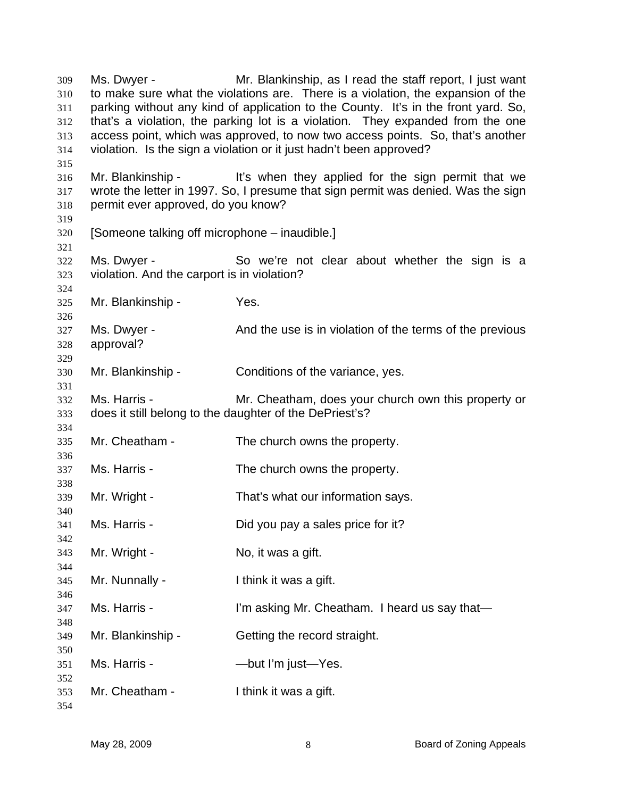Ms. Dwyer - Mr. Blankinship, as I read the staff report, I just want to make sure what the violations are. There is a violation, the expansion of the parking without any kind of application to the County. It's in the front yard. So, that's a violation, the parking lot is a violation. They expanded from the one access point, which was approved, to now two access points. So, that's another violation. Is the sign a violation or it just hadn't been approved? Mr. Blankinship - It's when they applied for the sign permit that we wrote the letter in 1997. So, I presume that sign permit was denied. Was the sign permit ever approved, do you know? [Someone talking off microphone – inaudible.] Ms. Dwyer - So we're not clear about whether the sign is a violation. And the carport is in violation? Mr. Blankinship - Yes. Ms. Dwyer - And the use is in violation of the terms of the previous approval? Mr. Blankinship - Conditions of the variance, yes. Ms. Harris - Mr. Cheatham, does your church own this property or does it still belong to the daughter of the DePriest's? Mr. Cheatham - The church owns the property. Ms. Harris - The church owns the property. Mr. Wright - That's what our information says. Ms. Harris - Did you pay a sales price for it? Mr. Wright - No, it was a gift. Mr. Nunnally - Think it was a gift. Ms. Harris - I'm asking Mr. Cheatham. I heard us say that— Mr. Blankinship - Getting the record straight. Ms. Harris - The Solut I'm just—Yes. Mr. Cheatham - I think it was a gift.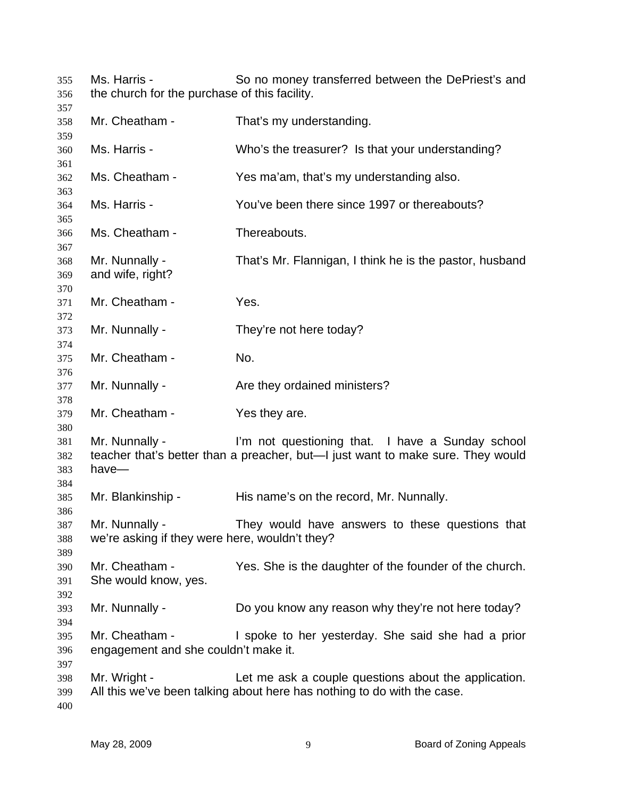Ms. Harris - So no money transferred between the DePriest's and the church for the purchase of this facility. 

 Mr. Cheatham - That's my understanding. Ms. Harris - Who's the treasurer? Is that your understanding? Ms. Cheatham - Yes ma'am, that's my understanding also. Ms. Harris - You've been there since 1997 or thereabouts? Ms. Cheatham - Thereabouts. Mr. Nunnally - That's Mr. Flannigan, I think he is the pastor, husband and wife, right? Mr. Cheatham - Yes. Mr. Nunnally - They're not here today? Mr. Cheatham - No. Mr. Nunnally - The Are they ordained ministers? Mr. Cheatham - Yes they are. Mr. Nunnally - I'm not questioning that. I have a Sunday school teacher that's better than a preacher, but—I just want to make sure. They would have— Mr. Blankinship - His name's on the record, Mr. Nunnally. Mr. Nunnally - They would have answers to these questions that we're asking if they were here, wouldn't they? Mr. Cheatham - Yes. She is the daughter of the founder of the church. She would know, yes. Mr. Nunnally - Do you know any reason why they're not here today? Mr. Cheatham - I spoke to her yesterday. She said she had a prior engagement and she couldn't make it. Mr. Wright - The Let me ask a couple questions about the application. All this we've been talking about here has nothing to do with the case.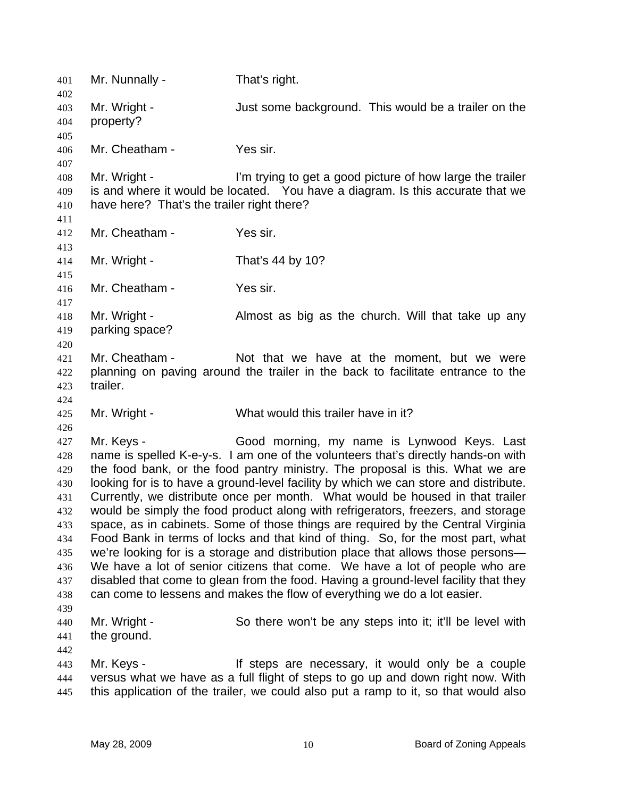| 401        | Mr. Nunnally -                             | That's right.                                                                                                                               |
|------------|--------------------------------------------|---------------------------------------------------------------------------------------------------------------------------------------------|
| 402        | Mr. Wright -                               | Just some background. This would be a trailer on the                                                                                        |
| 403<br>404 | property?                                  |                                                                                                                                             |
| 405        |                                            |                                                                                                                                             |
| 406        | Mr. Cheatham -                             | Yes sir.                                                                                                                                    |
| 407        |                                            |                                                                                                                                             |
| 408<br>409 | Mr. Wright -                               | I'm trying to get a good picture of how large the trailer<br>is and where it would be located. You have a diagram. Is this accurate that we |
| 410<br>411 | have here? That's the trailer right there? |                                                                                                                                             |
| 412        | Mr. Cheatham -                             | Yes sir.                                                                                                                                    |
| 413<br>414 | Mr. Wright -                               | That's 44 by 10?                                                                                                                            |
| 415<br>416 | Mr. Cheatham -                             | Yes sir.                                                                                                                                    |
| 417        |                                            |                                                                                                                                             |
| 418        | Mr. Wright -                               | Almost as big as the church. Will that take up any                                                                                          |
| 419        | parking space?                             |                                                                                                                                             |
| 420        |                                            |                                                                                                                                             |
| 421        | Mr. Cheatham -                             | Not that we have at the moment, but we were                                                                                                 |
| 422        |                                            | planning on paving around the trailer in the back to facilitate entrance to the                                                             |
| 423        | trailer.                                   |                                                                                                                                             |
| 424        |                                            |                                                                                                                                             |
| 425        | Mr. Wright -                               | What would this trailer have in it?                                                                                                         |
| 426        |                                            |                                                                                                                                             |
| 427        | Mr. Keys -                                 | Good morning, my name is Lynwood Keys. Last                                                                                                 |
| 428        |                                            | name is spelled K-e-y-s. I am one of the volunteers that's directly hands-on with                                                           |
| 429        |                                            | the food bank, or the food pantry ministry. The proposal is this. What we are                                                               |
| 430        |                                            | looking for is to have a ground-level facility by which we can store and distribute.                                                        |
| 431        |                                            | Currently, we distribute once per month. What would be housed in that trailer                                                               |
| 432        |                                            | would be simply the food product along with refrigerators, freezers, and storage                                                            |
| 433        |                                            | space, as in cabinets. Some of those things are required by the Central Virginia                                                            |
| 434        |                                            | Food Bank in terms of locks and that kind of thing. So, for the most part, what                                                             |
| 435        |                                            | we're looking for is a storage and distribution place that allows those persons-                                                            |
| 436        |                                            | We have a lot of senior citizens that come. We have a lot of people who are                                                                 |
| 437        |                                            | disabled that come to glean from the food. Having a ground-level facility that they                                                         |
| 438        |                                            | can come to lessens and makes the flow of everything we do a lot easier.                                                                    |
| 439        |                                            |                                                                                                                                             |
| 440        | Mr. Wright -                               | So there won't be any steps into it; it'll be level with                                                                                    |
| 441        | the ground.                                |                                                                                                                                             |
| 442        |                                            |                                                                                                                                             |
| 443        | Mr. Keys -                                 | If steps are necessary, it would only be a couple                                                                                           |
| 444        |                                            | versus what we have as a full flight of steps to go up and down right now. With                                                             |
| 445        |                                            | this application of the trailer, we could also put a ramp to it, so that would also                                                         |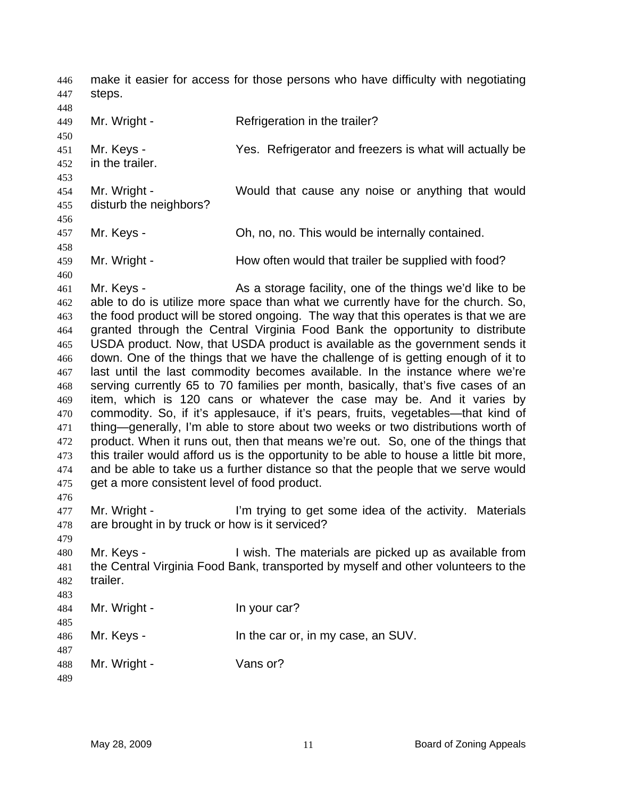make it easier for access for those persons who have difficulty with negotiating steps. 446 447

449 450 451 452 453 454 455 456 457 458 459 460 461 462 463 464 465 466 467 468 469 470 471 472 473 474 475 476 477 478 479 480 481 482 483 484 485 486 487 488 489 Mr. Wright - Refrigeration in the trailer? Mr. Keys - The Yes. Refrigerator and freezers is what will actually be in the trailer. Mr. Wright - Would that cause any noise or anything that would disturb the neighbors? Mr. Keys - Ch, no, no. This would be internally contained. Mr. Wright - **How often would that trailer be supplied with food?** Mr. Keys - As a storage facility, one of the things we'd like to be able to do is utilize more space than what we currently have for the church. So, the food product will be stored ongoing. The way that this operates is that we are granted through the Central Virginia Food Bank the opportunity to distribute USDA product. Now, that USDA product is available as the government sends it down. One of the things that we have the challenge of is getting enough of it to last until the last commodity becomes available. In the instance where we're serving currently 65 to 70 families per month, basically, that's five cases of an item, which is 120 cans or whatever the case may be. And it varies by commodity. So, if it's applesauce, if it's pears, fruits, vegetables—that kind of thing—generally, I'm able to store about two weeks or two distributions worth of product. When it runs out, then that means we're out. So, one of the things that this trailer would afford us is the opportunity to be able to house a little bit more, and be able to take us a further distance so that the people that we serve would get a more consistent level of food product. Mr. Wright - The I'm trying to get some idea of the activity. Materials are brought in by truck or how is it serviced? Mr. Keys - I wish. The materials are picked up as available from the Central Virginia Food Bank, transported by myself and other volunteers to the trailer. Mr. Wright - In your car? Mr. Keys - In the car or, in my case, an SUV. Mr. Wright - Vans or?

448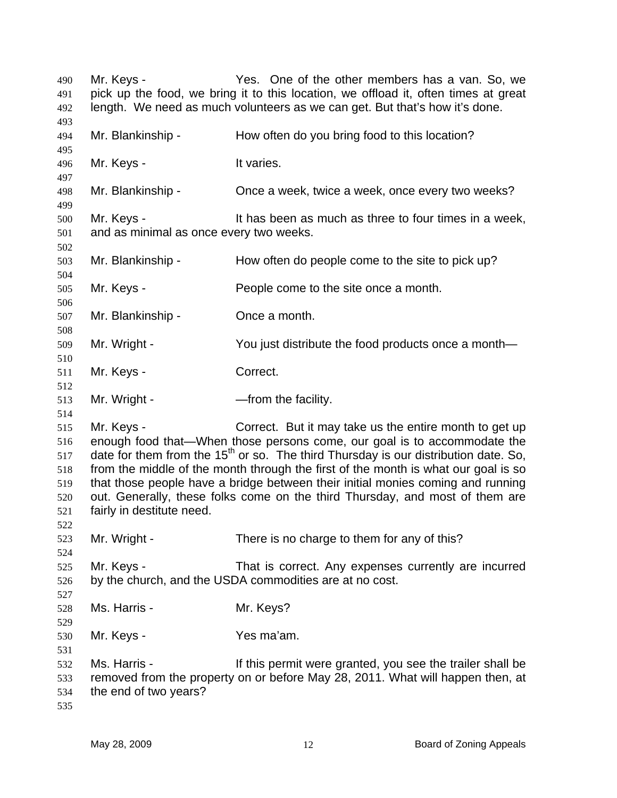Mr. Keys - Yes. One of the other members has a van. So, we pick up the food, we bring it to this location, we offload it, often times at great length. We need as much volunteers as we can get. But that's how it's done. Mr. Blankinship - How often do you bring food to this location? Mr. Keys - The Muslim Controller and Muslim It varies. Mr. Blankinship - Chice a week, twice a week, once every two weeks? Mr. Keys - The State of the state of the state of the Keys - It has been as much as three to four times in a week, and as minimal as once every two weeks. Mr. Blankinship - How often do people come to the site to pick up? Mr. Keys - People come to the site once a month. Mr. Blankinship - Once a month. Mr. Wright - You just distribute the food products once a month— Mr. Keys - Correct. Mr. Wright - The Solution Company and Mr. Wright - The Manuscriptum Article and Mr. 2016. Mr. Keys - Correct. But it may take us the entire month to get up enough food that—When those persons come, our goal is to accommodate the date for them from the 15<sup>th</sup> or so. The third Thursday is our distribution date. So, from the middle of the month through the first of the month is what our goal is so that those people have a bridge between their initial monies coming and running out. Generally, these folks come on the third Thursday, and most of them are fairly in destitute need. Mr. Wright - There is no charge to them for any of this? Mr. Keys - That is correct. Any expenses currently are incurred by the church, and the USDA commodities are at no cost. Ms. Harris - Mr. Keys? Mr. Keys - Yes ma'am. Ms. Harris - The Music of this permit were granted, you see the trailer shall be removed from the property on or before May 28, 2011. What will happen then, at the end of two years?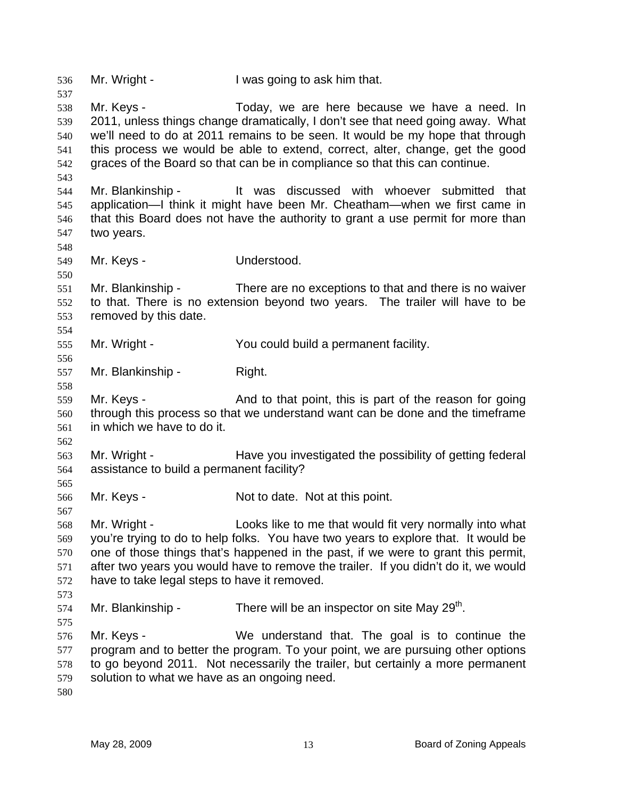536 Mr. Wright - I was going to ask him that. 537 538 539 540 541 542 543 544 545 546 547 548 549 550 551 552 553 554 555 556 557 558 559 560 561 562 563 564 565 566 567 568 569 570 571 572 573 574 575 576 577 578 579 580 Mr. Keys - Today, we are here because we have a need. In 2011, unless things change dramatically, I don't see that need going away. What we'll need to do at 2011 remains to be seen. It would be my hope that through this process we would be able to extend, correct, alter, change, get the good graces of the Board so that can be in compliance so that this can continue. Mr. Blankinship - It was discussed with whoever submitted that application—I think it might have been Mr. Cheatham—when we first came in that this Board does not have the authority to grant a use permit for more than two years. Mr. Keys - **Understood.** Mr. Blankinship - There are no exceptions to that and there is no waiver to that. There is no extension beyond two years. The trailer will have to be removed by this date. Mr. Wright - You could build a permanent facility. Mr. Blankinship - Right. Mr. Keys - And to that point, this is part of the reason for going through this process so that we understand want can be done and the timeframe in which we have to do it. Mr. Wright - The Have you investigated the possibility of getting federal assistance to build a permanent facility? Mr. Keys - Not to date. Not at this point. Mr. Wright - Looks like to me that would fit very normally into what you're trying to do to help folks. You have two years to explore that. It would be one of those things that's happened in the past, if we were to grant this permit, after two years you would have to remove the trailer. If you didn't do it, we would have to take legal steps to have it removed. Mr. Blankinship - There will be an inspector on site May  $29<sup>th</sup>$ . Mr. Keys - We understand that. The goal is to continue the program and to better the program. To your point, we are pursuing other options to go beyond 2011. Not necessarily the trailer, but certainly a more permanent solution to what we have as an ongoing need.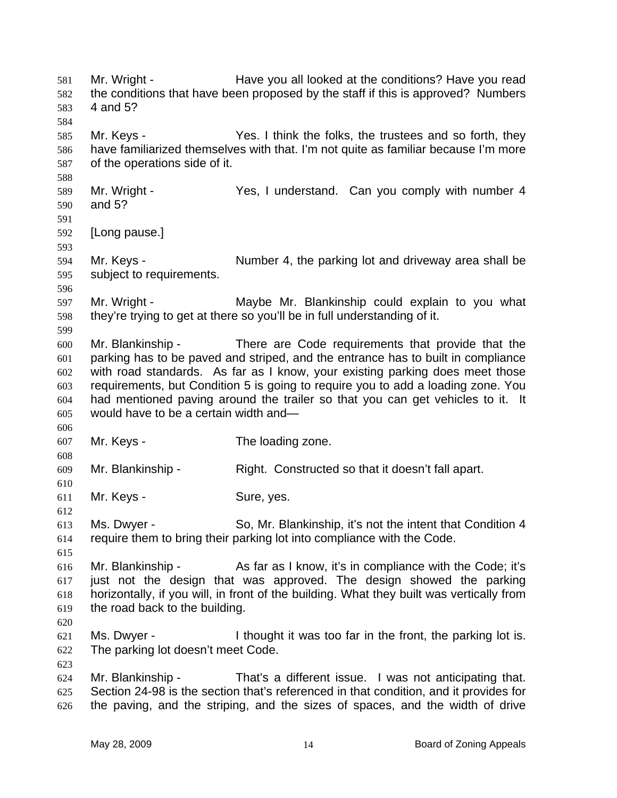Mr. Wright - Have you all looked at the conditions? Have you read the conditions that have been proposed by the staff if this is approved? Numbers 4 and 5? 581 582 583 584 585 586 587 588 589 590 591 592 593 594 595 596 597 598 599 600 601 602 603 604 605 606 607 608 609 610 611 612 613 614 615 616 617 618 619 620 621 622 623 624 625 626 Mr. Keys - Yes. I think the folks, the trustees and so forth, they have familiarized themselves with that. I'm not quite as familiar because I'm more of the operations side of it. Mr. Wright - The Yes, I understand. Can you comply with number 4 and 5? [Long pause.] Mr. Keys - Number 4, the parking lot and driveway area shall be subject to requirements. Mr. Wright - Maybe Mr. Blankinship could explain to you what they're trying to get at there so you'll be in full understanding of it. Mr. Blankinship - There are Code requirements that provide that the parking has to be paved and striped, and the entrance has to built in compliance with road standards. As far as I know, your existing parking does meet those requirements, but Condition 5 is going to require you to add a loading zone. You had mentioned paving around the trailer so that you can get vehicles to it. It would have to be a certain width and— Mr. Keys - The loading zone. Mr. Blankinship - Right. Constructed so that it doesn't fall apart. Mr. Keys - Sure, yes. Ms. Dwyer - So, Mr. Blankinship, it's not the intent that Condition 4 require them to bring their parking lot into compliance with the Code. Mr. Blankinship - As far as I know, it's in compliance with the Code; it's just not the design that was approved. The design showed the parking horizontally, if you will, in front of the building. What they built was vertically from the road back to the building. Ms. Dwyer - I thought it was too far in the front, the parking lot is. The parking lot doesn't meet Code. Mr. Blankinship - That's a different issue. I was not anticipating that. Section 24-98 is the section that's referenced in that condition, and it provides for the paving, and the striping, and the sizes of spaces, and the width of drive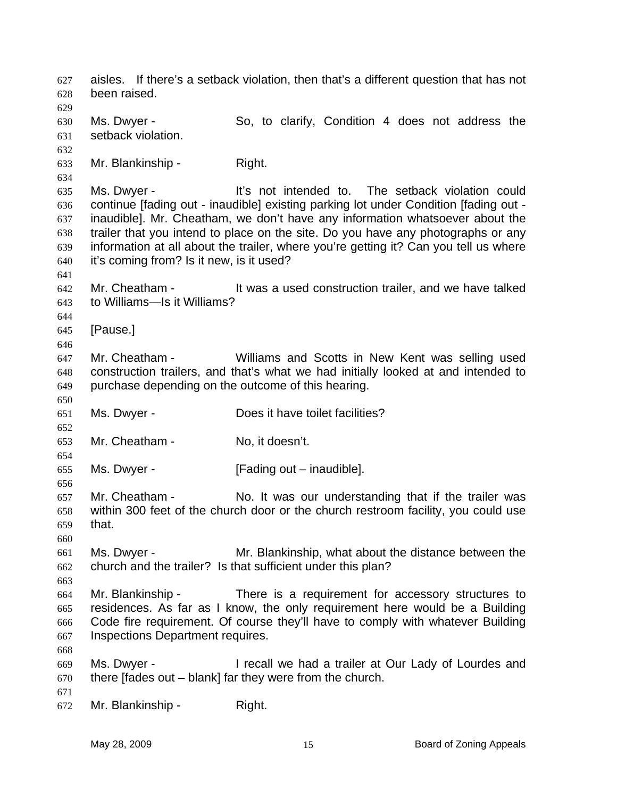aisles. If there's a setback violation, then that's a different question that has not been raised. 627 628 629 630 631 632 633 634 635 636 637 638 639 640 641 642 643 644 645 646 647 648 649 650 651 652 653 654 655 656 657 658 659 660 661 662 663 664 665 666 667 668 669 670 671 672 Ms. Dwyer - So, to clarify, Condition 4 does not address the setback violation. Mr. Blankinship - Right. Ms. Dwyer - It's not intended to. The setback violation could continue [fading out - inaudible] existing parking lot under Condition [fading out inaudible]. Mr. Cheatham, we don't have any information whatsoever about the trailer that you intend to place on the site. Do you have any photographs or any information at all about the trailer, where you're getting it? Can you tell us where it's coming from? Is it new, is it used? Mr. Cheatham - It was a used construction trailer, and we have talked to Williams—Is it Williams? [Pause.] Mr. Cheatham - Williams and Scotts in New Kent was selling used construction trailers, and that's what we had initially looked at and intended to purchase depending on the outcome of this hearing. Ms. Dwyer - **Does it have toilet facilities?** Mr. Cheatham - No. it doesn't. Ms. Dwyer - [Fading out – inaudible]. Mr. Cheatham - No. It was our understanding that if the trailer was within 300 feet of the church door or the church restroom facility, you could use that. Ms. Dwyer - The Mr. Blankinship, what about the distance between the church and the trailer? Is that sufficient under this plan? Mr. Blankinship - There is a requirement for accessory structures to residences. As far as I know, the only requirement here would be a Building Code fire requirement. Of course they'll have to comply with whatever Building Inspections Department requires. Ms. Dwyer - I recall we had a trailer at Our Lady of Lourdes and there [fades out – blank] far they were from the church. Mr. Blankinship - Right.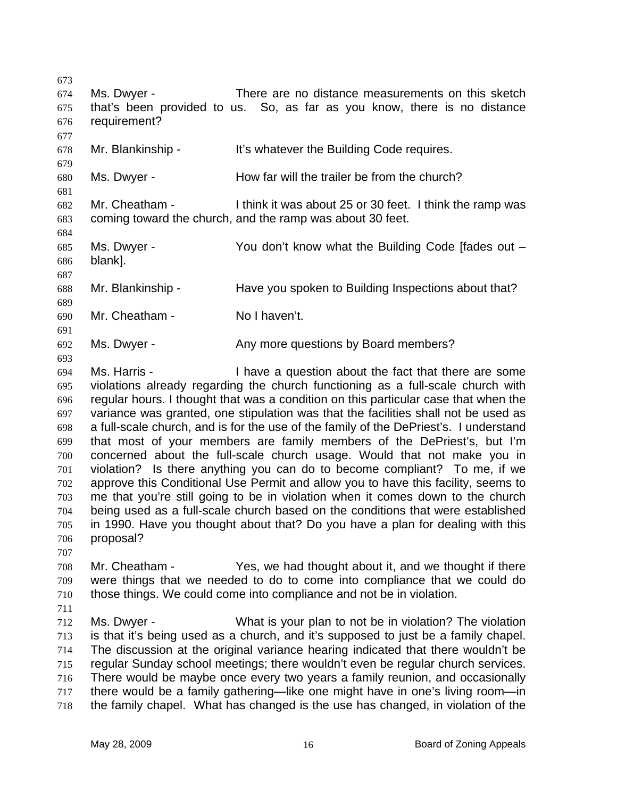673 674 675 676 677 678 679 680 681 682 683 684 685 686 687 688 689 690 691 692 693 694 695 696 697 698 699 700 701 702 703 704 705 706 Ms. Dwyer - There are no distance measurements on this sketch that's been provided to us. So, as far as you know, there is no distance requirement? Mr. Blankinship - It's whatever the Building Code requires. Ms. Dwyer - How far will the trailer be from the church? Mr. Cheatham - I think it was about 25 or 30 feet. I think the ramp was coming toward the church, and the ramp was about 30 feet. Ms. Dwyer - You don't know what the Building Code [fades out – blank]. Mr. Blankinship - Have you spoken to Building Inspections about that? Mr. Cheatham - No I haven't. Ms. Dwyer - Any more questions by Board members? Ms. Harris - Thave a question about the fact that there are some violations already regarding the church functioning as a full-scale church with regular hours. I thought that was a condition on this particular case that when the variance was granted, one stipulation was that the facilities shall not be used as a full-scale church, and is for the use of the family of the DePriest's. I understand that most of your members are family members of the DePriest's, but I'm concerned about the full-scale church usage. Would that not make you in violation? Is there anything you can do to become compliant? To me, if we approve this Conditional Use Permit and allow you to have this facility, seems to me that you're still going to be in violation when it comes down to the church being used as a full-scale church based on the conditions that were established in 1990. Have you thought about that? Do you have a plan for dealing with this proposal?

707

708 709 710 Mr. Cheatham - Yes, we had thought about it, and we thought if there were things that we needed to do to come into compliance that we could do those things. We could come into compliance and not be in violation.

711

712 713 714 715 716 717 718 Ms. Dwyer - What is your plan to not be in violation? The violation is that it's being used as a church, and it's supposed to just be a family chapel. The discussion at the original variance hearing indicated that there wouldn't be regular Sunday school meetings; there wouldn't even be regular church services. There would be maybe once every two years a family reunion, and occasionally there would be a family gathering—like one might have in one's living room—in the family chapel. What has changed is the use has changed, in violation of the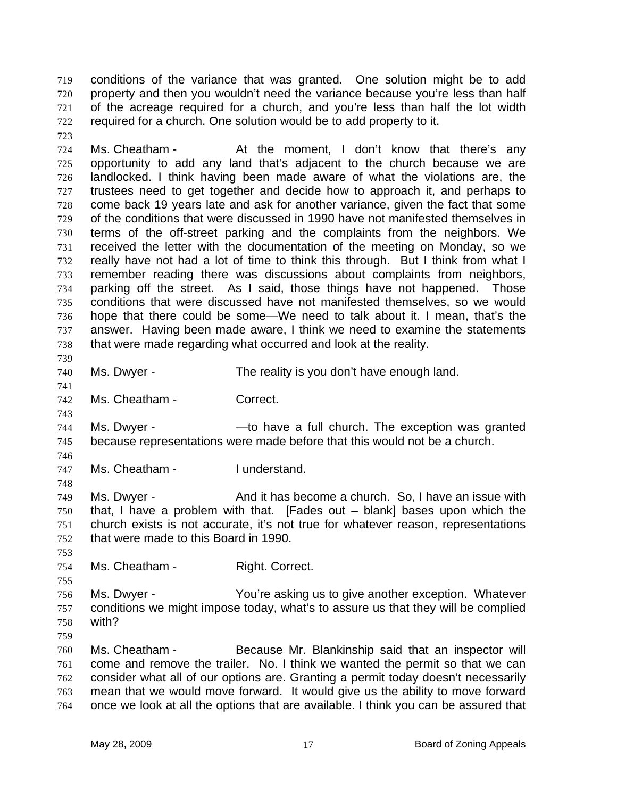conditions of the variance that was granted. One solution might be to add property and then you wouldn't need the variance because you're less than half of the acreage required for a church, and you're less than half the lot width required for a church. One solution would be to add property to it. 719 720 721 722

724 725 726 727 728 729 730 731 732 733 734 735 736 737 738 Ms. Cheatham - The the moment, I don't know that there's any opportunity to add any land that's adjacent to the church because we are landlocked. I think having been made aware of what the violations are, the trustees need to get together and decide how to approach it, and perhaps to come back 19 years late and ask for another variance, given the fact that some of the conditions that were discussed in 1990 have not manifested themselves in terms of the off-street parking and the complaints from the neighbors. We received the letter with the documentation of the meeting on Monday, so we really have not had a lot of time to think this through. But I think from what I remember reading there was discussions about complaints from neighbors, parking off the street. As I said, those things have not happened. Those conditions that were discussed have not manifested themselves, so we would hope that there could be some—We need to talk about it. I mean, that's the answer. Having been made aware, I think we need to examine the statements that were made regarding what occurred and look at the reality.

739 740

741

743

748

753

755

759

723

Ms. Dwyer - The reality is you don't have enough land.

742 Ms. Cheatham - Correct.

744 745 Ms. Dwyer - — —to have a full church. The exception was granted because representations were made before that this would not be a church.

746 747 Ms. Cheatham - I understand.

749 750 751 752 Ms. Dwyer - And it has become a church. So, I have an issue with that, I have a problem with that. [Fades out – blank] bases upon which the church exists is not accurate, it's not true for whatever reason, representations that were made to this Board in 1990.

754 Ms. Cheatham - Right. Correct.

756 757 758 Ms. Dwyer - You're asking us to give another exception. Whatever conditions we might impose today, what's to assure us that they will be complied with?

760 761 762 763 764 Ms. Cheatham - Because Mr. Blankinship said that an inspector will come and remove the trailer. No. I think we wanted the permit so that we can consider what all of our options are. Granting a permit today doesn't necessarily mean that we would move forward. It would give us the ability to move forward once we look at all the options that are available. I think you can be assured that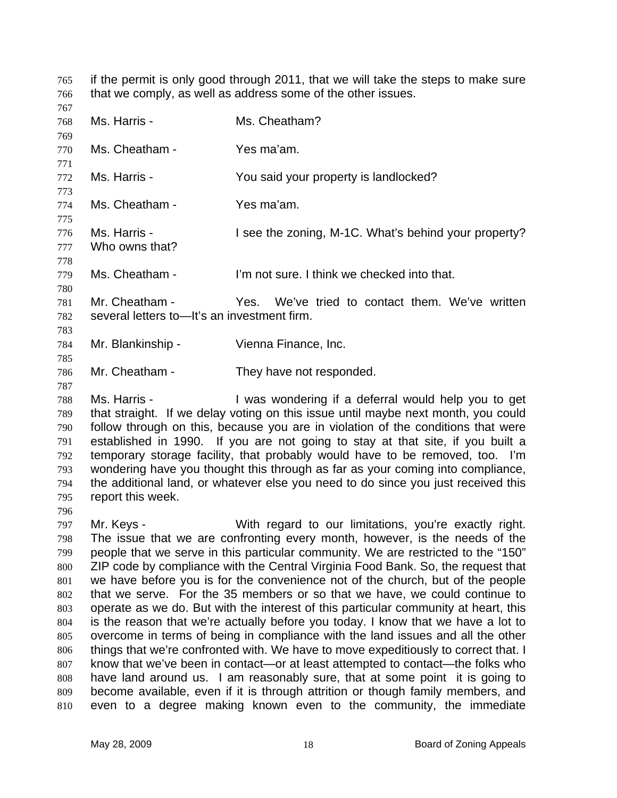if the permit is only good through 2011, that we will take the steps to make sure that we comply, as well as address some of the other issues. 765 766

- 767 768 769 770 771 772 773 774 775 776 777 778 779 780 781 782 783 784 Ms. Harris - Ms. Cheatham? Ms. Cheatham - Yes ma'am. Ms. Harris - The You said your property is landlocked? Ms. Cheatham - Yes ma'am. Ms. Harris - I see the zoning, M-1C. What's behind your property? Who owns that? Ms. Cheatham - I'm not sure. I think we checked into that. Mr. Cheatham - Yes. We've tried to contact them. We've written several letters to—It's an investment firm. Mr. Blankinship - Vienna Finance, Inc.
- 786 Mr. Cheatham - They have not responded.
- 788 789 790 791 792 793 794 795 Ms. Harris - The Mas wondering if a deferral would help you to get that straight. If we delay voting on this issue until maybe next month, you could follow through on this, because you are in violation of the conditions that were established in 1990. If you are not going to stay at that site, if you built a temporary storage facility, that probably would have to be removed, too. I'm wondering have you thought this through as far as your coming into compliance, the additional land, or whatever else you need to do since you just received this report this week.
- 796

785

787

797 798 799 800 801 802 803 804 805 806 807 808 809 810 Mr. Keys - With regard to our limitations, you're exactly right. The issue that we are confronting every month, however, is the needs of the people that we serve in this particular community. We are restricted to the "150" ZIP code by compliance with the Central Virginia Food Bank. So, the request that we have before you is for the convenience not of the church, but of the people that we serve. For the 35 members or so that we have, we could continue to operate as we do. But with the interest of this particular community at heart, this is the reason that we're actually before you today. I know that we have a lot to overcome in terms of being in compliance with the land issues and all the other things that we're confronted with. We have to move expeditiously to correct that. I know that we've been in contact—or at least attempted to contact—the folks who have land around us. I am reasonably sure, that at some point it is going to become available, even if it is through attrition or though family members, and even to a degree making known even to the community, the immediate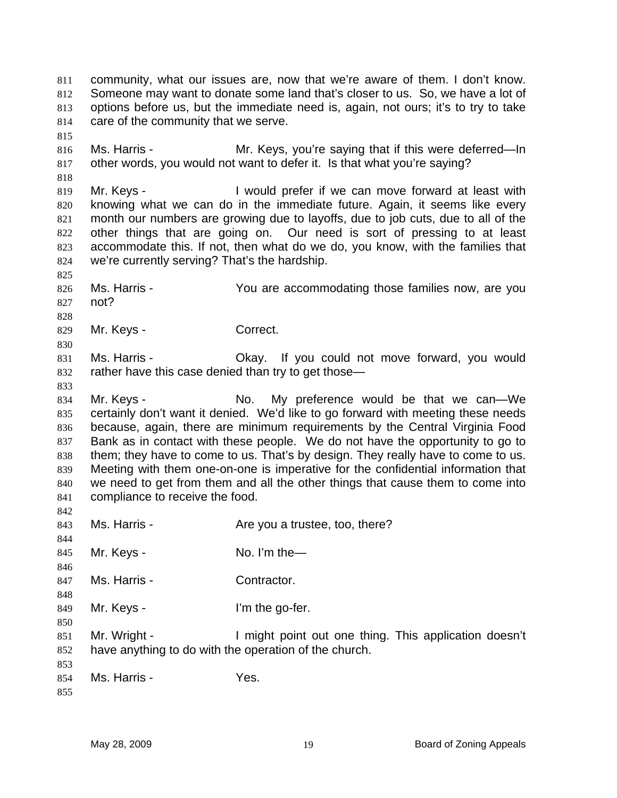community, what our issues are, now that we're aware of them. I don't know. Someone may want to donate some land that's closer to us. So, we have a lot of options before us, but the immediate need is, again, not ours; it's to try to take care of the community that we serve. 811 812 813 814 815 816 817 818 819 820 821 822 823 824 825 826 827 828 829 830 831 832 833 834 835 836 837 838 839 840 841 842 843 844 845 846 847 848 849 850 851 852 853 854 855 Ms. Harris - The Mr. Keys, you're saying that if this were deferred—In other words, you would not want to defer it. Is that what you're saying? Mr. Keys - The State of I would prefer if we can move forward at least with knowing what we can do in the immediate future. Again, it seems like every month our numbers are growing due to layoffs, due to job cuts, due to all of the other things that are going on. Our need is sort of pressing to at least accommodate this. If not, then what do we do, you know, with the families that we're currently serving? That's the hardship. Ms. Harris - The You are accommodating those families now, are you not? Mr. Keys - Correct. Ms. Harris - Okay. If you could not move forward, you would rather have this case denied than try to get those— Mr. Keys - The Mo. My preference would be that we can—We certainly don't want it denied. We'd like to go forward with meeting these needs because, again, there are minimum requirements by the Central Virginia Food Bank as in contact with these people. We do not have the opportunity to go to them; they have to come to us. That's by design. They really have to come to us. Meeting with them one-on-one is imperative for the confidential information that we need to get from them and all the other things that cause them to come into compliance to receive the food. Ms. Harris - The Are you a trustee, too, there? Mr. Keys - No. I'm the Ms. Harris - Contractor. Mr. Keys - The go-fer. Mr. Wright - I might point out one thing. This application doesn't have anything to do with the operation of the church. Ms. Harris - The Yes.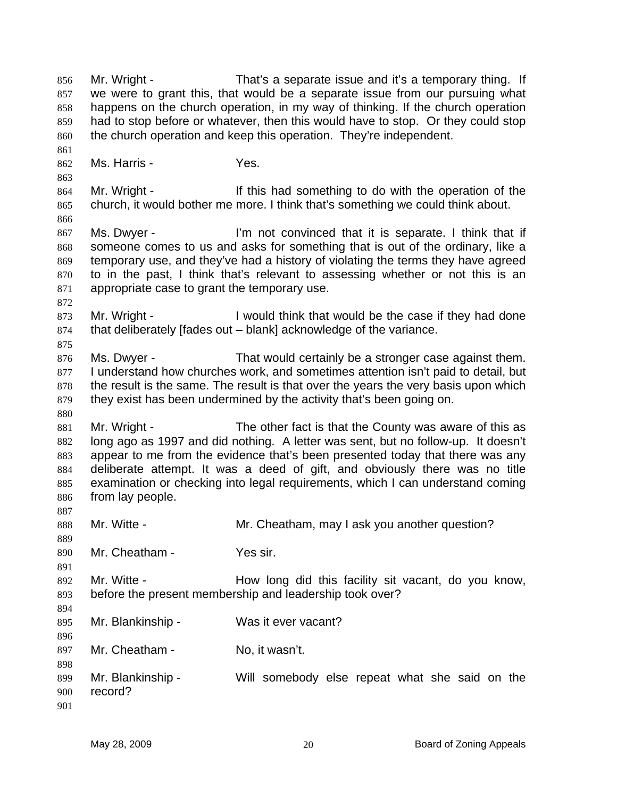Mr. Wright - That's a separate issue and it's a temporary thing. If we were to grant this, that would be a separate issue from our pursuing what happens on the church operation, in my way of thinking. If the church operation had to stop before or whatever, then this would have to stop. Or they could stop the church operation and keep this operation. They're independent. 856 857 858 859 860 861 862 863 864 865 866 867 868 869 870 871 872 873 874 875 876 877 878 879 880 881 882 883 884 885 886 887 888 889 890 891 892 893 894 895 896 897 898 899 900 901 Ms. Harris - Yes. Mr. Wright - The Mr is had something to do with the operation of the church, it would bother me more. I think that's something we could think about. Ms. Dwyer - I'm not convinced that it is separate. I think that if someone comes to us and asks for something that is out of the ordinary, like a temporary use, and they've had a history of violating the terms they have agreed to in the past, I think that's relevant to assessing whether or not this is an appropriate case to grant the temporary use. Mr. Wright - I would think that would be the case if they had done that deliberately [fades out – blank] acknowledge of the variance. Ms. Dwyer - That would certainly be a stronger case against them. I understand how churches work, and sometimes attention isn't paid to detail, but the result is the same. The result is that over the years the very basis upon which they exist has been undermined by the activity that's been going on. Mr. Wright - The other fact is that the County was aware of this as long ago as 1997 and did nothing. A letter was sent, but no follow-up. It doesn't appear to me from the evidence that's been presented today that there was any deliberate attempt. It was a deed of gift, and obviously there was no title examination or checking into legal requirements, which I can understand coming from lay people. Mr. Witte - **Mr. Cheatham, may I ask you another question?** Mr. Cheatham - Yes sir. Mr. Witte - **How long did this facility sit vacant**, do you know, before the present membership and leadership took over? Mr. Blankinship - Was it ever vacant? Mr. Cheatham - No. it wasn't. Mr. Blankinship - Will somebody else repeat what she said on the record?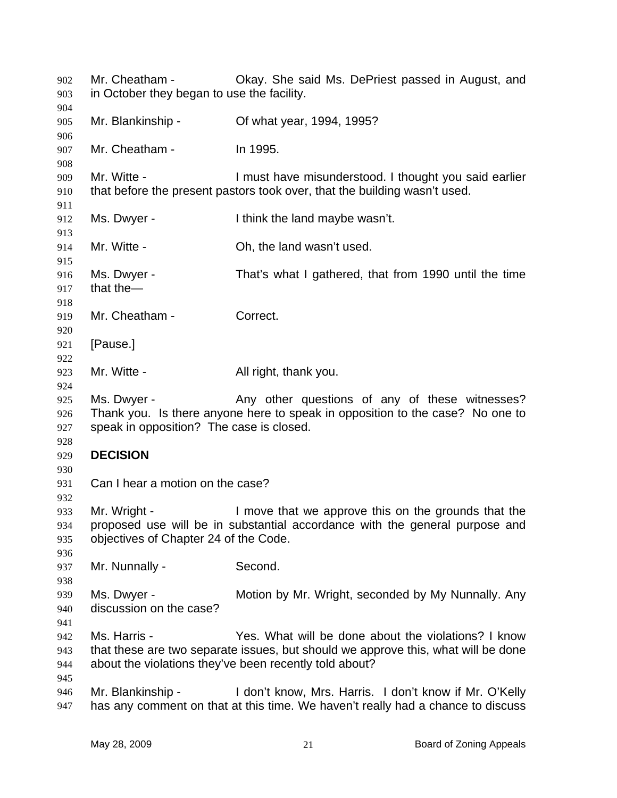Mr. Cheatham - Okay. She said Ms. DePriest passed in August, and in October they began to use the facility. Mr. Blankinship - Cf what year, 1994, 1995? Mr. Cheatham - In 1995. Mr. Witte - The Must have misunderstood. I thought you said earlier that before the present pastors took over, that the building wasn't used. Ms. Dwyer - I think the land maybe wasn't. Mr. Witte - Ch, the land wasn't used. Ms. Dwyer - That's what I gathered, that from 1990 until the time that the— Mr. Cheatham - Correct. [Pause.] Mr. Witte - All right, thank you. Ms. Dwyer - Any other questions of any of these witnesses? Thank you. Is there anyone here to speak in opposition to the case? No one to speak in opposition? The case is closed. **DECISION**  Can I hear a motion on the case? Mr. Wright - I move that we approve this on the grounds that the proposed use will be in substantial accordance with the general purpose and objectives of Chapter 24 of the Code. Mr. Nunnally - Second. Ms. Dwyer - **Motion by Mr. Wright, seconded by My Nunnally. Any** discussion on the case? Ms. Harris - Yes. What will be done about the violations? I know that these are two separate issues, but should we approve this, what will be done about the violations they've been recently told about? Mr. Blankinship - I don't know, Mrs. Harris. I don't know if Mr. O'Kelly has any comment on that at this time. We haven't really had a chance to discuss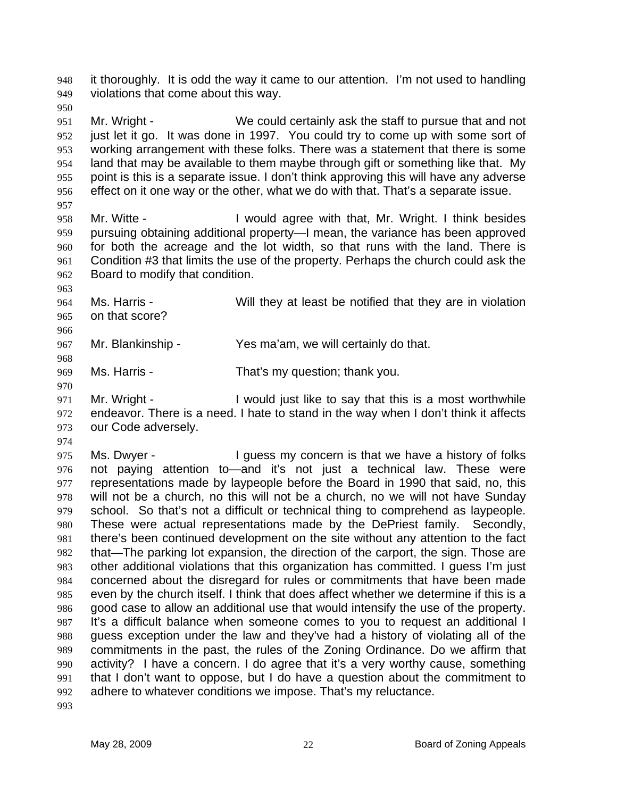it thoroughly. It is odd the way it came to our attention. I'm not used to handling violations that come about this way. 948 949

950

951 952 953 954 955 956 Mr. Wright - We could certainly ask the staff to pursue that and not just let it go. It was done in 1997. You could try to come up with some sort of working arrangement with these folks. There was a statement that there is some land that may be available to them maybe through gift or something like that. My point is this is a separate issue. I don't think approving this will have any adverse effect on it one way or the other, what we do with that. That's a separate issue.

957

958 959 960 961 962 Mr. Witte - I would agree with that, Mr. Wright. I think besides pursuing obtaining additional property—I mean, the variance has been approved for both the acreage and the lot width, so that runs with the land. There is Condition #3 that limits the use of the property. Perhaps the church could ask the Board to modify that condition.

963

964 965 Ms. Harris - Will they at least be notified that they are in violation on that score?

967 Mr. Blankinship - Yes ma'am, we will certainly do that.

968 969

970

966

Ms. Harris - That's my question; thank you.

971 972 973 Mr. Wright - I would just like to say that this is a most worthwhile endeavor. There is a need. I hate to stand in the way when I don't think it affects our Code adversely.

974

975 976 977 978 979 980 981 982 983 984 985 986 987 988 989 990 991 992 Ms. Dwyer - I guess my concern is that we have a history of folks not paying attention to—and it's not just a technical law. These were representations made by laypeople before the Board in 1990 that said, no, this will not be a church, no this will not be a church, no we will not have Sunday school. So that's not a difficult or technical thing to comprehend as laypeople. These were actual representations made by the DePriest family. Secondly, there's been continued development on the site without any attention to the fact that—The parking lot expansion, the direction of the carport, the sign. Those are other additional violations that this organization has committed. I guess I'm just concerned about the disregard for rules or commitments that have been made even by the church itself. I think that does affect whether we determine if this is a good case to allow an additional use that would intensify the use of the property. It's a difficult balance when someone comes to you to request an additional I guess exception under the law and they've had a history of violating all of the commitments in the past, the rules of the Zoning Ordinance. Do we affirm that activity? I have a concern. I do agree that it's a very worthy cause, something that I don't want to oppose, but I do have a question about the commitment to adhere to whatever conditions we impose. That's my reluctance.

993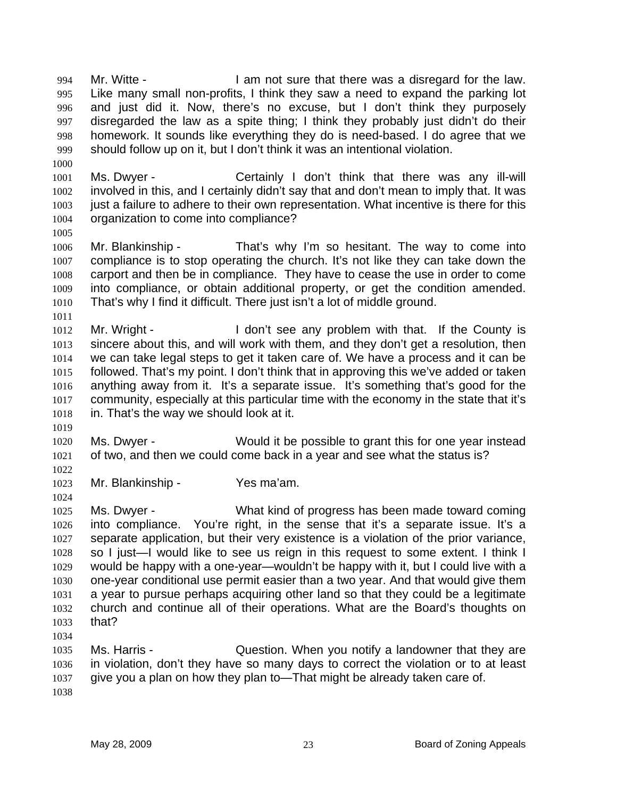Mr. Witte - The Solution of sure that there was a disregard for the law. Like many small non-profits, I think they saw a need to expand the parking lot and just did it. Now, there's no excuse, but I don't think they purposely disregarded the law as a spite thing; I think they probably just didn't do their homework. It sounds like everything they do is need-based. I do agree that we should follow up on it, but I don't think it was an intentional violation. 994 995 996 997 998 999

1001 1002 1003 1004 Ms. Dwyer - Certainly I don't think that there was any ill-will involved in this, and I certainly didn't say that and don't mean to imply that. It was just a failure to adhere to their own representation. What incentive is there for this organization to come into compliance?

1005

1011

1000

1006 1007 1008 1009 1010 Mr. Blankinship - That's why I'm so hesitant. The way to come into compliance is to stop operating the church. It's not like they can take down the carport and then be in compliance. They have to cease the use in order to come into compliance, or obtain additional property, or get the condition amended. That's why I find it difficult. There just isn't a lot of middle ground.

- 1012 1013 1014 1015 1016 1017 1018 Mr. Wright - The U don't see any problem with that. If the County is sincere about this, and will work with them, and they don't get a resolution, then we can take legal steps to get it taken care of. We have a process and it can be followed. That's my point. I don't think that in approving this we've added or taken anything away from it. It's a separate issue. It's something that's good for the community, especially at this particular time with the economy in the state that it's in. That's the way we should look at it.
- 1019

1020 1021 Ms. Dwyer - Would it be possible to grant this for one year instead of two, and then we could come back in a year and see what the status is?

1022 1023

1024

Mr. Blankinship - Yes ma'am.

1025 1026 1027 1028 1029 1030 1031 1032 1033 1034 Ms. Dwyer - What kind of progress has been made toward coming into compliance. You're right, in the sense that it's a separate issue. It's a separate application, but their very existence is a violation of the prior variance, so I just—I would like to see us reign in this request to some extent. I think I would be happy with a one-year—wouldn't be happy with it, but I could live with a one-year conditional use permit easier than a two year. And that would give them a year to pursue perhaps acquiring other land so that they could be a legitimate church and continue all of their operations. What are the Board's thoughts on that?

1035 1036 1037 1038 Ms. Harris - Cuestion. When you notify a landowner that they are in violation, don't they have so many days to correct the violation or to at least give you a plan on how they plan to—That might be already taken care of.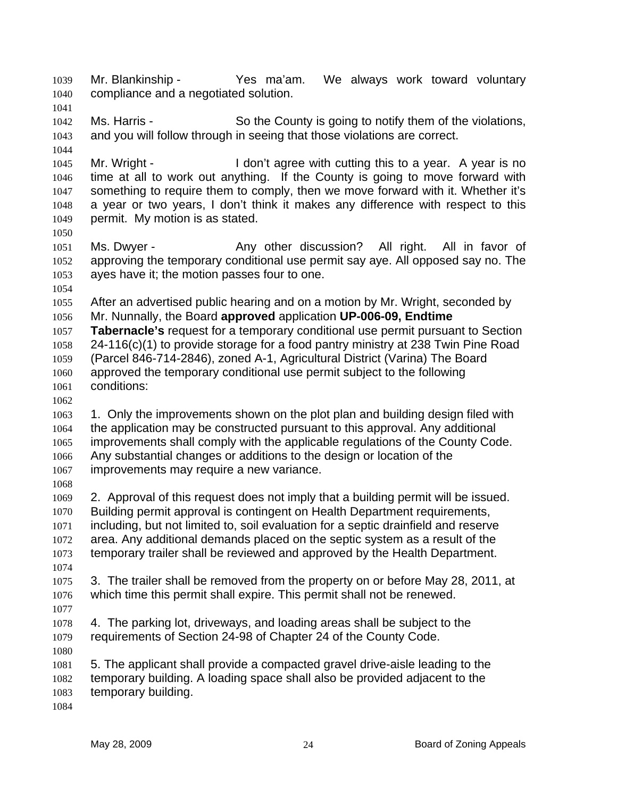Mr. Blankinship - The Yestima'am. We always work toward voluntary compliance and a negotiated solution. 1039 1040 1041 1042 1043 1044 1045 1046 1047 1048 1049 1050 1051 1052 1053 1054 1055 1056 1057 1058 1059 1060 1061 1062 1063 1064 1065 1066 1067 1068 1069 1070 1071 1072 1073 1074 1075 1076 1077 1078 1079 1080 1081 1082 1083 1084 Ms. Harris - So the County is going to notify them of the violations, and you will follow through in seeing that those violations are correct. Mr. Wright - The I don't agree with cutting this to a year. A year is no time at all to work out anything. If the County is going to move forward with something to require them to comply, then we move forward with it. Whether it's a year or two years, I don't think it makes any difference with respect to this permit. My motion is as stated. Ms. Dwyer - Any other discussion? All right. All in favor of approving the temporary conditional use permit say aye. All opposed say no. The ayes have it; the motion passes four to one. After an advertised public hearing and on a motion by Mr. Wright, seconded by Mr. Nunnally, the Board **approved** application **UP-006-09, Endtime Tabernacle's** request for a temporary conditional use permit pursuant to Section 24-116(c)(1) to provide storage for a food pantry ministry at 238 Twin Pine Road (Parcel 846-714-2846), zoned A-1, Agricultural District (Varina) The Board approved the temporary conditional use permit subject to the following conditions: 1. Only the improvements shown on the plot plan and building design filed with the application may be constructed pursuant to this approval. Any additional improvements shall comply with the applicable regulations of the County Code. Any substantial changes or additions to the design or location of the improvements may require a new variance. 2. Approval of this request does not imply that a building permit will be issued. Building permit approval is contingent on Health Department requirements, including, but not limited to, soil evaluation for a septic drainfield and reserve area. Any additional demands placed on the septic system as a result of the temporary trailer shall be reviewed and approved by the Health Department. 3. The trailer shall be removed from the property on or before May 28, 2011, at which time this permit shall expire. This permit shall not be renewed. 4. The parking lot, driveways, and loading areas shall be subject to the requirements of Section 24-98 of Chapter 24 of the County Code. 5. The applicant shall provide a compacted gravel drive-aisle leading to the temporary building. A loading space shall also be provided adjacent to the temporary building.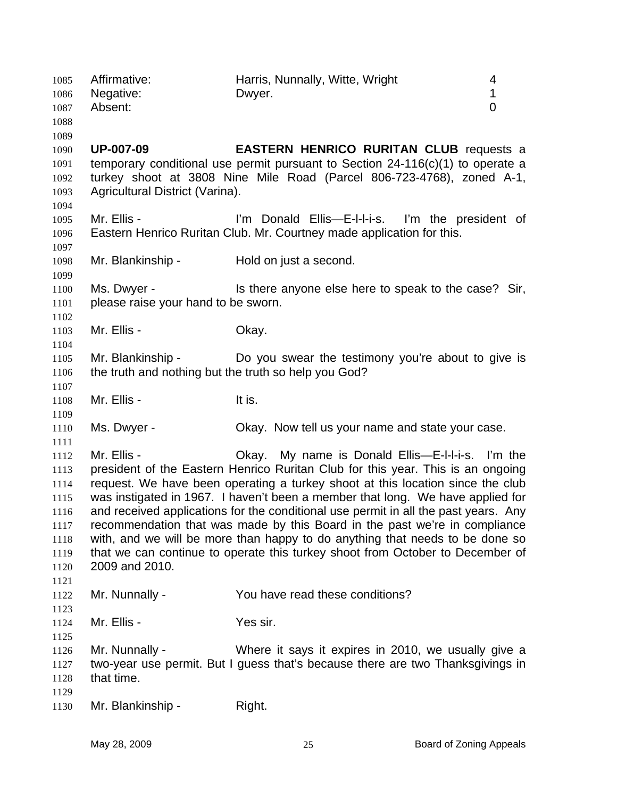| 1086<br>1087<br>1088                                                         | Negative:<br>Absent:                                                      | 1<br>Dwyer.<br>$\overline{0}$                                                                                                                                                                                                                                                                                                                                                                                                                                                                                                                                                                                                                 |  |
|------------------------------------------------------------------------------|---------------------------------------------------------------------------|-----------------------------------------------------------------------------------------------------------------------------------------------------------------------------------------------------------------------------------------------------------------------------------------------------------------------------------------------------------------------------------------------------------------------------------------------------------------------------------------------------------------------------------------------------------------------------------------------------------------------------------------------|--|
| 1089<br>1090<br>1091<br>1092<br>1093<br>1094                                 | <b>UP-007-09</b><br>Agricultural District (Varina).                       | <b>EASTERN HENRICO RURITAN CLUB requests a</b><br>temporary conditional use permit pursuant to Section $24-116(c)(1)$ to operate a<br>turkey shoot at 3808 Nine Mile Road (Parcel 806-723-4768), zoned A-1,                                                                                                                                                                                                                                                                                                                                                                                                                                   |  |
| 1095<br>1096<br>1097                                                         | Mr. Ellis -                                                               | I'm Donald Ellis-E-I-I-i-s. I'm the president of<br>Eastern Henrico Ruritan Club. Mr. Courtney made application for this.                                                                                                                                                                                                                                                                                                                                                                                                                                                                                                                     |  |
| 1098<br>1099                                                                 | Mr. Blankinship -                                                         | Hold on just a second.                                                                                                                                                                                                                                                                                                                                                                                                                                                                                                                                                                                                                        |  |
| 1100<br>1101<br>1102                                                         | Ms. Dwyer -<br>please raise your hand to be sworn.                        | Is there anyone else here to speak to the case? Sir,                                                                                                                                                                                                                                                                                                                                                                                                                                                                                                                                                                                          |  |
| 1103<br>1104                                                                 | Mr. Ellis -                                                               | Okay.                                                                                                                                                                                                                                                                                                                                                                                                                                                                                                                                                                                                                                         |  |
| 1105<br>1106<br>1107                                                         | Mr. Blankinship -<br>the truth and nothing but the truth so help you God? | Do you swear the testimony you're about to give is                                                                                                                                                                                                                                                                                                                                                                                                                                                                                                                                                                                            |  |
| 1108                                                                         | Mr. Ellis -                                                               | It is.                                                                                                                                                                                                                                                                                                                                                                                                                                                                                                                                                                                                                                        |  |
| 1109<br>1110<br>1111                                                         | Ms. Dwyer -                                                               | Okay. Now tell us your name and state your case.                                                                                                                                                                                                                                                                                                                                                                                                                                                                                                                                                                                              |  |
| 1112<br>1113<br>1114<br>1115<br>1116<br>1117<br>1118<br>1119<br>1120<br>1121 | Mr. Ellis -<br>2009 and 2010.                                             | Okay. My name is Donald Ellis—E-I-I-i-s. I'm the<br>president of the Eastern Henrico Ruritan Club for this year. This is an ongoing<br>request. We have been operating a turkey shoot at this location since the club<br>was instigated in 1967. I haven't been a member that long. We have applied for<br>and received applications for the conditional use permit in all the past years. Any<br>recommendation that was made by this Board in the past we're in compliance<br>with, and we will be more than happy to do anything that needs to be done so<br>that we can continue to operate this turkey shoot from October to December of |  |
| 1122                                                                         | Mr. Nunnally -                                                            | You have read these conditions?                                                                                                                                                                                                                                                                                                                                                                                                                                                                                                                                                                                                               |  |
| 1123<br>1124<br>1125                                                         | Mr. Ellis -                                                               | Yes sir.                                                                                                                                                                                                                                                                                                                                                                                                                                                                                                                                                                                                                                      |  |
| 1126<br>1127<br>1128                                                         | Mr. Nunnally -<br>that time.                                              | Where it says it expires in 2010, we usually give a<br>two-year use permit. But I guess that's because there are two Thanksgivings in                                                                                                                                                                                                                                                                                                                                                                                                                                                                                                         |  |
| 1129<br>1130                                                                 | Mr. Blankinship -                                                         | Right.                                                                                                                                                                                                                                                                                                                                                                                                                                                                                                                                                                                                                                        |  |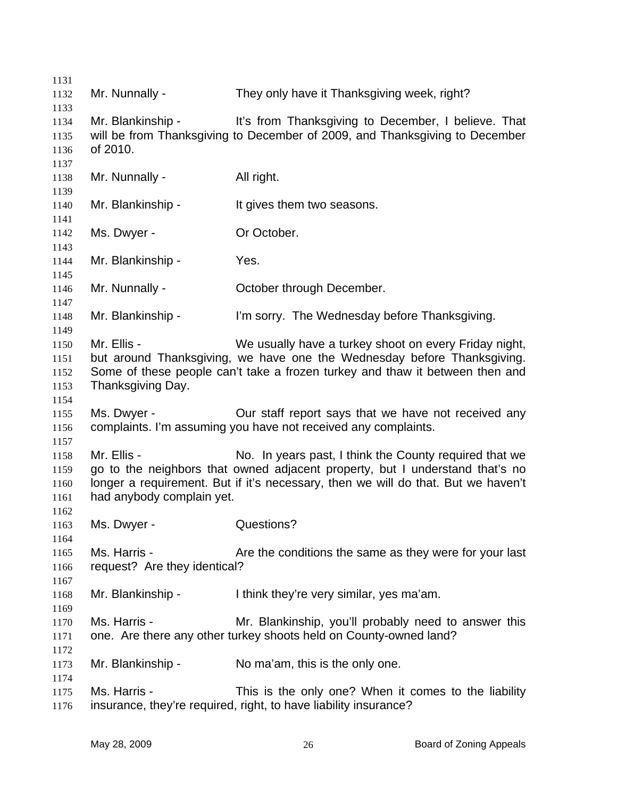| 1131         |                              |                                                                                   |
|--------------|------------------------------|-----------------------------------------------------------------------------------|
| 1132         | Mr. Nunnally -               | They only have it Thanksgiving week, right?                                       |
| 1133         |                              |                                                                                   |
| 1134         | Mr. Blankinship -            | It's from Thanksgiving to December, I believe. That                               |
| 1135         |                              | will be from Thanksgiving to December of 2009, and Thanksgiving to December       |
| 1136         | of 2010.                     |                                                                                   |
| 1137         |                              |                                                                                   |
| 1138         | Mr. Nunnally -               | All right.                                                                        |
| 1139         |                              |                                                                                   |
| 1140         | Mr. Blankinship -            | It gives them two seasons.                                                        |
| 1141         |                              |                                                                                   |
| 1142         | Ms. Dwyer -                  | Or October.                                                                       |
| 1143         |                              | Yes.                                                                              |
| 1144<br>1145 | Mr. Blankinship -            |                                                                                   |
| 1146         | Mr. Nunnally -               | October through December.                                                         |
| 1147         |                              |                                                                                   |
| 1148         | Mr. Blankinship -            | I'm sorry. The Wednesday before Thanksgiving.                                     |
| 1149         |                              |                                                                                   |
| 1150         | Mr. Ellis -                  | We usually have a turkey shoot on every Friday night,                             |
| 1151         |                              | but around Thanksgiving, we have one the Wednesday before Thanksgiving.           |
| 1152         |                              | Some of these people can't take a frozen turkey and thaw it between then and      |
| 1153         | Thanksgiving Day.            |                                                                                   |
| 1154         |                              |                                                                                   |
| 1155         | Ms. Dwyer -                  | Our staff report says that we have not received any                               |
| 1156         |                              | complaints. I'm assuming you have not received any complaints.                    |
| 1157         |                              |                                                                                   |
| 1158         | Mr. Ellis -                  | No. In years past, I think the County required that we                            |
| 1159         |                              | go to the neighbors that owned adjacent property, but I understand that's no      |
| 1160         |                              | longer a requirement. But if it's necessary, then we will do that. But we haven't |
| 1161         | had anybody complain yet.    |                                                                                   |
| 1162         |                              |                                                                                   |
| 1163         | Ms. Dwyer -                  | Questions?                                                                        |
| 1164         |                              |                                                                                   |
| 1165         | Ms. Harris -                 | Are the conditions the same as they were for your last                            |
| 1166         | request? Are they identical? |                                                                                   |
| 1167         |                              |                                                                                   |
| 1168         | Mr. Blankinship -            | I think they're very similar, yes ma'am.                                          |
| 1169         |                              |                                                                                   |
| 1170         | Ms. Harris -                 | Mr. Blankinship, you'll probably need to answer this                              |
| 1171         |                              | one. Are there any other turkey shoots held on County-owned land?                 |
| 1172         |                              |                                                                                   |
| 1173         | Mr. Blankinship -            | No ma'am, this is the only one.                                                   |
| 1174         |                              |                                                                                   |
| 1175         | Ms. Harris -                 | This is the only one? When it comes to the liability                              |
| 1176         |                              | insurance, they're required, right, to have liability insurance?                  |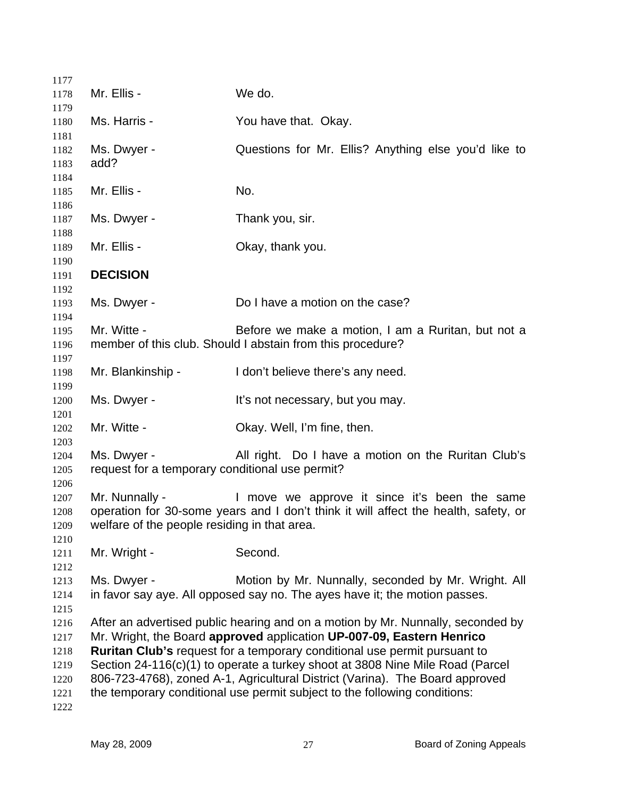| 1177                                                 |                                                                |                                                                                                                                                                                                                                                                                                                                                                                                                                                                                     |
|------------------------------------------------------|----------------------------------------------------------------|-------------------------------------------------------------------------------------------------------------------------------------------------------------------------------------------------------------------------------------------------------------------------------------------------------------------------------------------------------------------------------------------------------------------------------------------------------------------------------------|
| 1178<br>1179                                         | Mr. Ellis -                                                    | We do.                                                                                                                                                                                                                                                                                                                                                                                                                                                                              |
| 1180<br>1181                                         | Ms. Harris -                                                   | You have that. Okay.                                                                                                                                                                                                                                                                                                                                                                                                                                                                |
| 1182<br>1183                                         | Ms. Dwyer -<br>add?                                            | Questions for Mr. Ellis? Anything else you'd like to                                                                                                                                                                                                                                                                                                                                                                                                                                |
| 1184<br>1185<br>1186                                 | Mr. Ellis -                                                    | No.                                                                                                                                                                                                                                                                                                                                                                                                                                                                                 |
| 1187<br>1188                                         | Ms. Dwyer -                                                    | Thank you, sir.                                                                                                                                                                                                                                                                                                                                                                                                                                                                     |
| 1189<br>1190                                         | Mr. Ellis -                                                    | Okay, thank you.                                                                                                                                                                                                                                                                                                                                                                                                                                                                    |
| 1191<br>1192                                         | <b>DECISION</b>                                                |                                                                                                                                                                                                                                                                                                                                                                                                                                                                                     |
| 1193<br>1194                                         | Ms. Dwyer -                                                    | Do I have a motion on the case?                                                                                                                                                                                                                                                                                                                                                                                                                                                     |
| 1195<br>1196<br>1197                                 | Mr. Witte -                                                    | Before we make a motion, I am a Ruritan, but not a<br>member of this club. Should I abstain from this procedure?                                                                                                                                                                                                                                                                                                                                                                    |
| 1198<br>1199                                         | Mr. Blankinship -                                              | I don't believe there's any need.                                                                                                                                                                                                                                                                                                                                                                                                                                                   |
| 1200<br>1201                                         | Ms. Dwyer -                                                    | It's not necessary, but you may.                                                                                                                                                                                                                                                                                                                                                                                                                                                    |
| 1202<br>1203                                         | Mr. Witte -                                                    | Okay. Well, I'm fine, then.                                                                                                                                                                                                                                                                                                                                                                                                                                                         |
| 1204<br>1205<br>1206                                 | Ms. Dwyer -<br>request for a temporary conditional use permit? | All right. Do I have a motion on the Ruritan Club's                                                                                                                                                                                                                                                                                                                                                                                                                                 |
| 1207<br>1208<br>1209<br>1210                         | Mr. Nunnally -<br>welfare of the people residing in that area. | I move we approve it since it's been the same<br>operation for 30-some years and I don't think it will affect the health, safety, or                                                                                                                                                                                                                                                                                                                                                |
| 1211<br>1212                                         | Mr. Wright -                                                   | Second.                                                                                                                                                                                                                                                                                                                                                                                                                                                                             |
| 1213<br>1214<br>1215                                 | Ms. Dwyer -                                                    | Motion by Mr. Nunnally, seconded by Mr. Wright. All<br>in favor say aye. All opposed say no. The ayes have it; the motion passes.                                                                                                                                                                                                                                                                                                                                                   |
| 1216<br>1217<br>1218<br>1219<br>1220<br>1221<br>1222 |                                                                | After an advertised public hearing and on a motion by Mr. Nunnally, seconded by<br>Mr. Wright, the Board approved application UP-007-09, Eastern Henrico<br>Ruritan Club's request for a temporary conditional use permit pursuant to<br>Section 24-116(c)(1) to operate a turkey shoot at 3808 Nine Mile Road (Parcel<br>806-723-4768), zoned A-1, Agricultural District (Varina). The Board approved<br>the temporary conditional use permit subject to the following conditions: |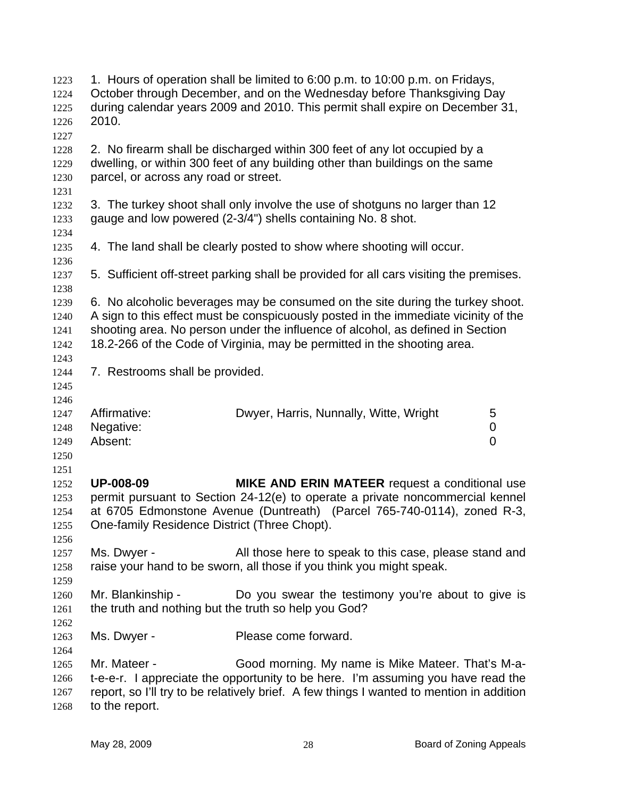| 1223<br>1224<br>1225<br>1226<br>1227 | 2010.                                                                     | 1. Hours of operation shall be limited to 6:00 p.m. to 10:00 p.m. on Fridays,<br>October through December, and on the Wednesday before Thanksgiving Day<br>during calendar years 2009 and 2010. This permit shall expire on December 31,                                                                                            |             |
|--------------------------------------|---------------------------------------------------------------------------|-------------------------------------------------------------------------------------------------------------------------------------------------------------------------------------------------------------------------------------------------------------------------------------------------------------------------------------|-------------|
| 1228<br>1229<br>1230<br>1231         | parcel, or across any road or street.                                     | 2. No firearm shall be discharged within 300 feet of any lot occupied by a<br>dwelling, or within 300 feet of any building other than buildings on the same                                                                                                                                                                         |             |
| 1232<br>1233<br>1234                 |                                                                           | 3. The turkey shoot shall only involve the use of shotguns no larger than 12<br>gauge and low powered (2-3/4") shells containing No. 8 shot.                                                                                                                                                                                        |             |
| 1235<br>1236                         |                                                                           | 4. The land shall be clearly posted to show where shooting will occur.                                                                                                                                                                                                                                                              |             |
| 1237<br>1238                         |                                                                           | 5. Sufficient off-street parking shall be provided for all cars visiting the premises.                                                                                                                                                                                                                                              |             |
| 1239<br>1240<br>1241<br>1242         |                                                                           | 6. No alcoholic beverages may be consumed on the site during the turkey shoot.<br>A sign to this effect must be conspicuously posted in the immediate vicinity of the<br>shooting area. No person under the influence of alcohol, as defined in Section<br>18.2-266 of the Code of Virginia, may be permitted in the shooting area. |             |
| 1243<br>1244<br>1245<br>1246         | 7. Restrooms shall be provided.                                           |                                                                                                                                                                                                                                                                                                                                     |             |
| 1247<br>1248<br>1249<br>1250<br>1251 | Affirmative:<br>Negative:<br>Absent:                                      | Dwyer, Harris, Nunnally, Witte, Wright                                                                                                                                                                                                                                                                                              | 5<br>0<br>0 |
| 1252<br>1253<br>1254<br>1255<br>1256 | <b>UP-008-09</b><br>One-family Residence District (Three Chopt).          | <b>MIKE AND ERIN MATEER</b> request a conditional use<br>permit pursuant to Section 24-12(e) to operate a private noncommercial kennel<br>at 6705 Edmonstone Avenue (Duntreath) (Parcel 765-740-0114), zoned R-3,                                                                                                                   |             |
| 1257<br>1258<br>1259                 | Ms. Dwyer -                                                               | All those here to speak to this case, please stand and<br>raise your hand to be sworn, all those if you think you might speak.                                                                                                                                                                                                      |             |
| 1260<br>1261<br>1262                 | Mr. Blankinship -<br>the truth and nothing but the truth so help you God? | Do you swear the testimony you're about to give is                                                                                                                                                                                                                                                                                  |             |
| 1263<br>1264                         | Ms. Dwyer -                                                               | Please come forward.                                                                                                                                                                                                                                                                                                                |             |
| 1265<br>1266<br>1267<br>1268         | Mr. Mateer -<br>to the report.                                            | Good morning. My name is Mike Mateer. That's M-a-<br>t-e-e-r. I appreciate the opportunity to be here. I'm assuming you have read the<br>report, so I'll try to be relatively brief. A few things I wanted to mention in addition                                                                                                   |             |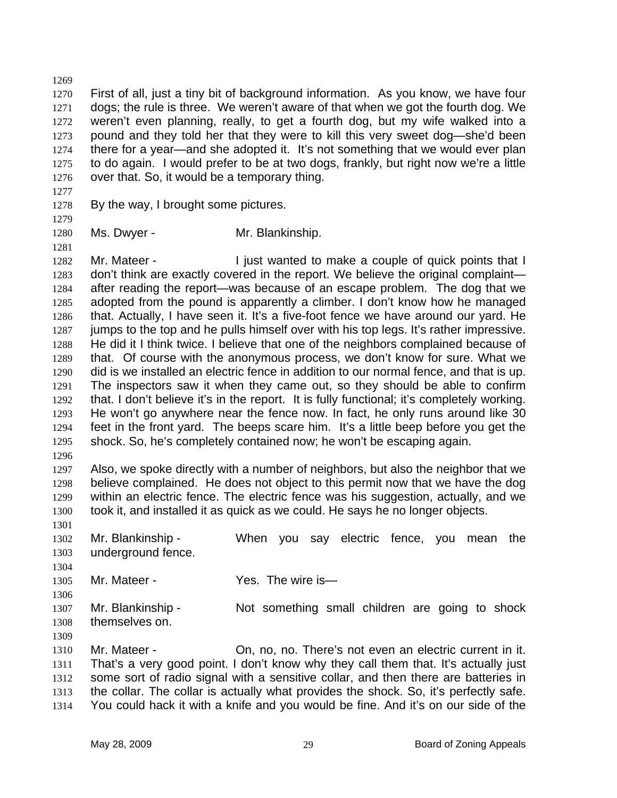1269 1270 1271 1272 1273 1274 1275 1276 First of all, just a tiny bit of background information. As you know, we have four dogs; the rule is three. We weren't aware of that when we got the fourth dog. We weren't even planning, really, to get a fourth dog, but my wife walked into a pound and they told her that they were to kill this very sweet dog—she'd been there for a year—and she adopted it. It's not something that we would ever plan to do again. I would prefer to be at two dogs, frankly, but right now we're a little over that. So, it would be a temporary thing.

1277 1278

By the way, I brought some pictures.

1279

1281

1280 Ms. Dwyer - Mr. Blankinship.

1282 1283 1284 1285 1286 1287 1288 1289 1290 1291 1292 1293 1294 1295 Mr. Mateer - Tiust wanted to make a couple of quick points that I don't think are exactly covered in the report. We believe the original complaint after reading the report—was because of an escape problem. The dog that we adopted from the pound is apparently a climber. I don't know how he managed that. Actually, I have seen it. It's a five-foot fence we have around our yard. He jumps to the top and he pulls himself over with his top legs. It's rather impressive. He did it I think twice. I believe that one of the neighbors complained because of that. Of course with the anonymous process, we don't know for sure. What we did is we installed an electric fence in addition to our normal fence, and that is up. The inspectors saw it when they came out, so they should be able to confirm that. I don't believe it's in the report. It is fully functional; it's completely working. He won't go anywhere near the fence now. In fact, he only runs around like 30 feet in the front yard. The beeps scare him. It's a little beep before you get the shock. So, he's completely contained now; he won't be escaping again.

1296

1297 1298 1299 1300 Also, we spoke directly with a number of neighbors, but also the neighbor that we believe complained. He does not object to this permit now that we have the dog within an electric fence. The electric fence was his suggestion, actually, and we took it, and installed it as quick as we could. He says he no longer objects.

1301 1302 1303 Mr. Blankinship - When you say electric fence, you mean the underground fence.

1305 Mr. Mateer - Yes. The wire is—

1307 1308 Mr. Blankinship - Not something small children are going to shock themselves on.

1309

1304

1306

1310 1311 1312 1313 1314 Mr. Mateer - On, no, no. There's not even an electric current in it. That's a very good point. I don't know why they call them that. It's actually just some sort of radio signal with a sensitive collar, and then there are batteries in the collar. The collar is actually what provides the shock. So, it's perfectly safe. You could hack it with a knife and you would be fine. And it's on our side of the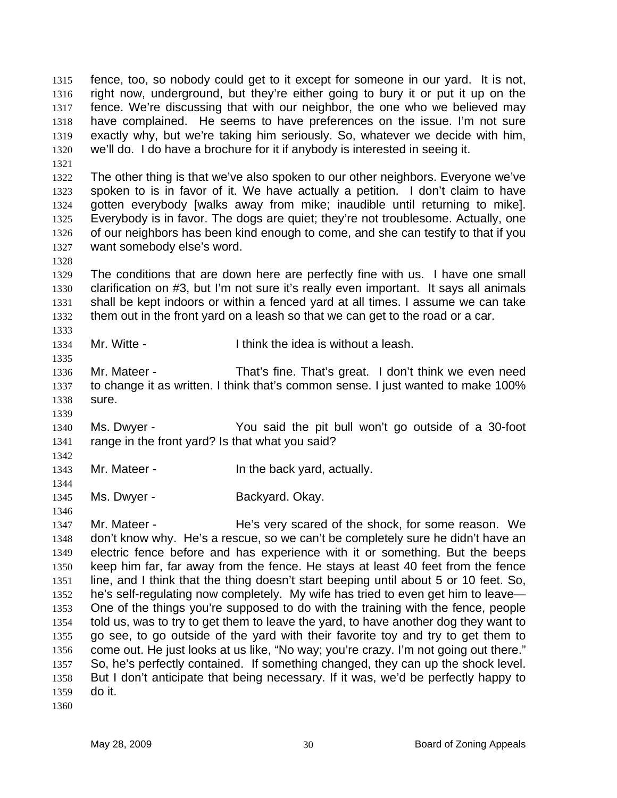fence, too, so nobody could get to it except for someone in our yard. It is not, right now, underground, but they're either going to bury it or put it up on the fence. We're discussing that with our neighbor, the one who we believed may have complained. He seems to have preferences on the issue. I'm not sure exactly why, but we're taking him seriously. So, whatever we decide with him, we'll do. I do have a brochure for it if anybody is interested in seeing it. 1315 1316 1317 1318 1319 1320

1322 1323 1324 1325 1326 1327 The other thing is that we've also spoken to our other neighbors. Everyone we've spoken to is in favor of it. We have actually a petition. I don't claim to have gotten everybody [walks away from mike; inaudible until returning to mike]. Everybody is in favor. The dogs are quiet; they're not troublesome. Actually, one of our neighbors has been kind enough to come, and she can testify to that if you want somebody else's word.

1329 1330 1331 1332 The conditions that are down here are perfectly fine with us. I have one small clarification on #3, but I'm not sure it's really even important. It says all animals shall be kept indoors or within a fenced yard at all times. I assume we can take them out in the front yard on a leash so that we can get to the road or a car.

1334 Mr. Witte - Think the idea is without a leash.

1336 1337 1338 Mr. Mateer - That's fine. That's great. I don't think we even need to change it as written. I think that's common sense. I just wanted to make 100% sure.

1340 1341 Ms. Dwyer - You said the pit bull won't go outside of a 30-foot range in the front yard? Is that what you said?

1343 Mr. Mateer - The back yard, actually.

1345 Ms. Dwyer - Backyard. Okay.

1347 1348 1349 1350 1351 1352 1353 1354 1355 1356 1357 1358 1359 Mr. Mateer - He's very scared of the shock, for some reason. We don't know why. He's a rescue, so we can't be completely sure he didn't have an electric fence before and has experience with it or something. But the beeps keep him far, far away from the fence. He stays at least 40 feet from the fence line, and I think that the thing doesn't start beeping until about 5 or 10 feet. So, he's self-regulating now completely. My wife has tried to even get him to leave— One of the things you're supposed to do with the training with the fence, people told us, was to try to get them to leave the yard, to have another dog they want to go see, to go outside of the yard with their favorite toy and try to get them to come out. He just looks at us like, "No way; you're crazy. I'm not going out there." So, he's perfectly contained. If something changed, they can up the shock level. But I don't anticipate that being necessary. If it was, we'd be perfectly happy to do it.

1360

1321

1328

1333

1335

1339

1342

1344

1346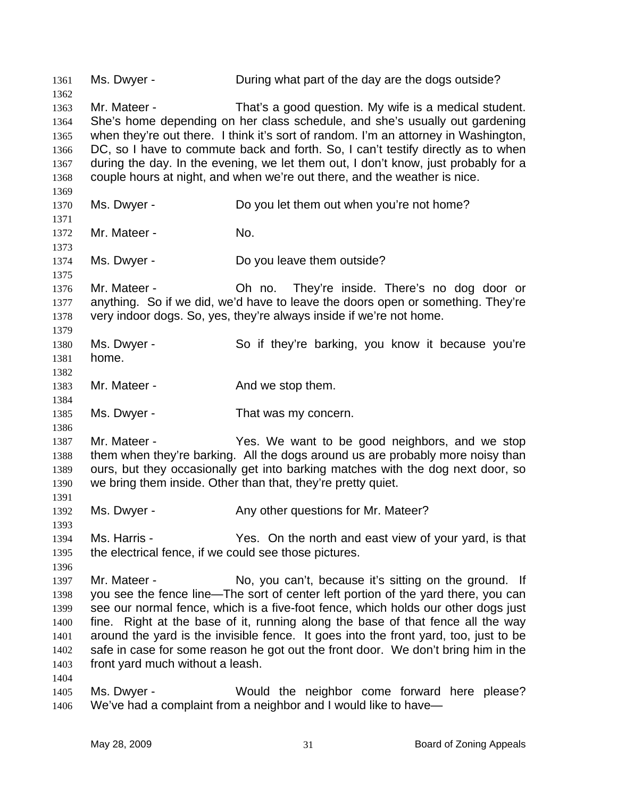1361 Ms. Dwyer - During what part of the day are the dogs outside? 1362 1363 1364 1365 1366 1367 1368 1369 1370 1371 1372 1373 1374 1375 1376 1377 1378 1379 1380 1381 1382 1383 1384 1385 1386 1387 1388 1389 1390 1391 1392 1393 1394 1395 1396 1397 1398 1399 1400 1401 1402 1403 1404 1405 1406 Mr. Mateer - That's a good question. My wife is a medical student. She's home depending on her class schedule, and she's usually out gardening when they're out there. I think it's sort of random. I'm an attorney in Washington, DC, so I have to commute back and forth. So, I can't testify directly as to when during the day. In the evening, we let them out, I don't know, just probably for a couple hours at night, and when we're out there, and the weather is nice. Ms. Dwyer - **Do you let them out when you're not home?** Mr. Mateer - No. Ms. Dwyer - Do you leave them outside? Mr. Mateer - Oh no. They're inside. There's no dog door or anything. So if we did, we'd have to leave the doors open or something. They're very indoor dogs. So, yes, they're always inside if we're not home. Ms. Dwyer - So if they're barking, you know it because you're home. Mr. Mateer - The And we stop them. Ms. Dwyer - That was my concern. Mr. Mateer - The Yes. We want to be good neighbors, and we stop them when they're barking. All the dogs around us are probably more noisy than ours, but they occasionally get into barking matches with the dog next door, so we bring them inside. Other than that, they're pretty quiet. Ms. Dwyer - Any other questions for Mr. Mateer? Ms. Harris - The Yes. On the north and east view of your yard, is that the electrical fence, if we could see those pictures. Mr. Mateer - No, you can't, because it's sitting on the ground. If you see the fence line—The sort of center left portion of the yard there, you can see our normal fence, which is a five-foot fence, which holds our other dogs just fine. Right at the base of it, running along the base of that fence all the way around the yard is the invisible fence. It goes into the front yard, too, just to be safe in case for some reason he got out the front door. We don't bring him in the front yard much without a leash. Ms. Dwyer - Would the neighbor come forward here please? We've had a complaint from a neighbor and I would like to have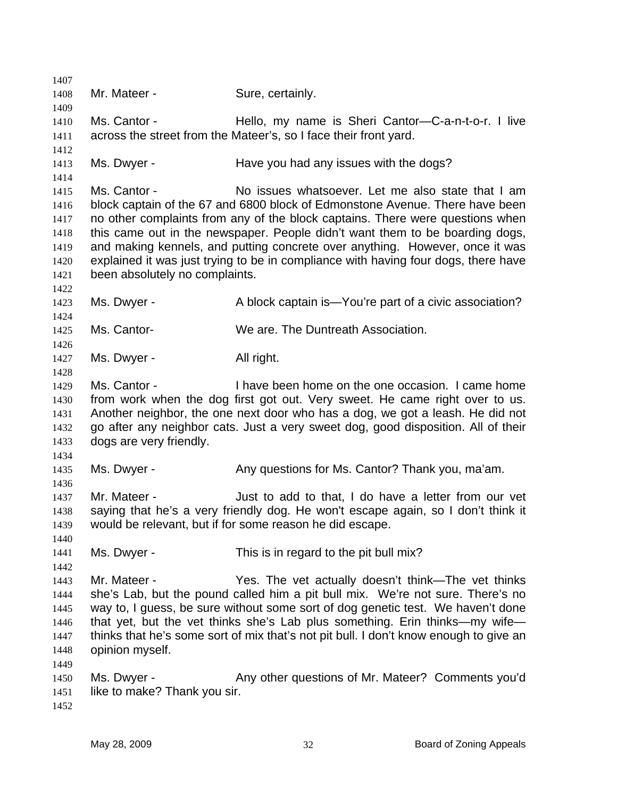1407 1408 1409 1410 1411 1412 1413 1414 1415 1416 1417 1418 1419 1420 1421 1422 1423 1424 1425 1426 1427 1428 1429 1430 1431 1432 1433 1434 1435 1436 1437 1438 1439 1440 1441 1442 1443 1444 1445 1446 1447 1448 1449 1450 1451 1452 Mr. Mateer - Sure, certainly. Ms. Cantor - Thello, my name is Sheri Cantor-C-a-n-t-o-r. I live across the street from the Mateer's, so I face their front yard. Ms. Dwyer - Have you had any issues with the dogs? Ms. Cantor - No issues whatsoever. Let me also state that I am block captain of the 67 and 6800 block of Edmonstone Avenue. There have been no other complaints from any of the block captains. There were questions when this came out in the newspaper. People didn't want them to be boarding dogs, and making kennels, and putting concrete over anything. However, once it was explained it was just trying to be in compliance with having four dogs, there have been absolutely no complaints. Ms. Dwyer - A block captain is—You're part of a civic association? Ms. Cantor- We are. The Duntreath Association. Ms. Dwyer - All right. Ms. Cantor - I have been home on the one occasion. I came home from work when the dog first got out. Very sweet. He came right over to us. Another neighbor, the one next door who has a dog, we got a leash. He did not go after any neighbor cats. Just a very sweet dog, good disposition. All of their dogs are very friendly. Ms. Dwyer - Any questions for Ms. Cantor? Thank you, ma'am. Mr. Mateer - Just to add to that, I do have a letter from our vet saying that he's a very friendly dog. He won't escape again, so I don't think it would be relevant, but if for some reason he did escape. Ms. Dwyer - This is in regard to the pit bull mix? Mr. Mateer - The Yes. The vet actually doesn't think—The vet thinks she's Lab, but the pound called him a pit bull mix. We're not sure. There's no way to, I guess, be sure without some sort of dog genetic test. We haven't done that yet, but the vet thinks she's Lab plus something. Erin thinks—my wife thinks that he's some sort of mix that's not pit bull. I don't know enough to give an opinion myself. Ms. Dwyer - Any other questions of Mr. Mateer? Comments you'd like to make? Thank you sir.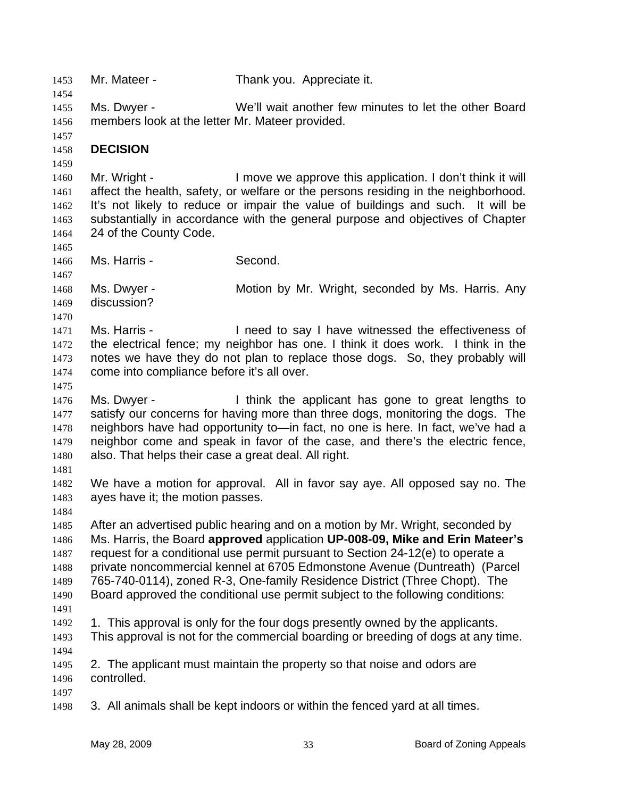1453 Mr. Mateer - Thank you. Appreciate it. 1454 1455 1456 1457 1458 1459 1460 1461 1462 1463 1464 1465 1466 1467 1468 1469 1470 1471 1472 1473 1474 1475 1476 1477 1478 1479 1480 1481 1482 1483 1484 1485 1486 1487 1488 1489 1490 1491 1492 1493 1494 1495 1496 1497 1498 Ms. Dwyer - We'll wait another few minutes to let the other Board members look at the letter Mr. Mateer provided. **DECISION**  Mr. Wright - I move we approve this application. I don't think it will affect the health, safety, or welfare or the persons residing in the neighborhood. It's not likely to reduce or impair the value of buildings and such. It will be substantially in accordance with the general purpose and objectives of Chapter 24 of the County Code. Ms. Harris - Second. Ms. Dwyer - **Motion by Mr. Wright, seconded by Ms. Harris. Any** discussion? Ms. Harris - I need to say I have witnessed the effectiveness of the electrical fence; my neighbor has one. I think it does work. I think in the notes we have they do not plan to replace those dogs. So, they probably will come into compliance before it's all over. Ms. Dwyer - I think the applicant has gone to great lengths to satisfy our concerns for having more than three dogs, monitoring the dogs. The neighbors have had opportunity to—in fact, no one is here. In fact, we've had a neighbor come and speak in favor of the case, and there's the electric fence, also. That helps their case a great deal. All right. We have a motion for approval. All in favor say aye. All opposed say no. The ayes have it; the motion passes. After an advertised public hearing and on a motion by Mr. Wright, seconded by Ms. Harris, the Board **approved** application **UP-008-09, Mike and Erin Mateer's** request for a conditional use permit pursuant to Section 24-12(e) to operate a private noncommercial kennel at 6705 Edmonstone Avenue (Duntreath) (Parcel 765-740-0114), zoned R-3, One-family Residence District (Three Chopt). The Board approved the conditional use permit subject to the following conditions: 1. This approval is only for the four dogs presently owned by the applicants. This approval is not for the commercial boarding or breeding of dogs at any time. 2. The applicant must maintain the property so that noise and odors are controlled. 3. All animals shall be kept indoors or within the fenced yard at all times.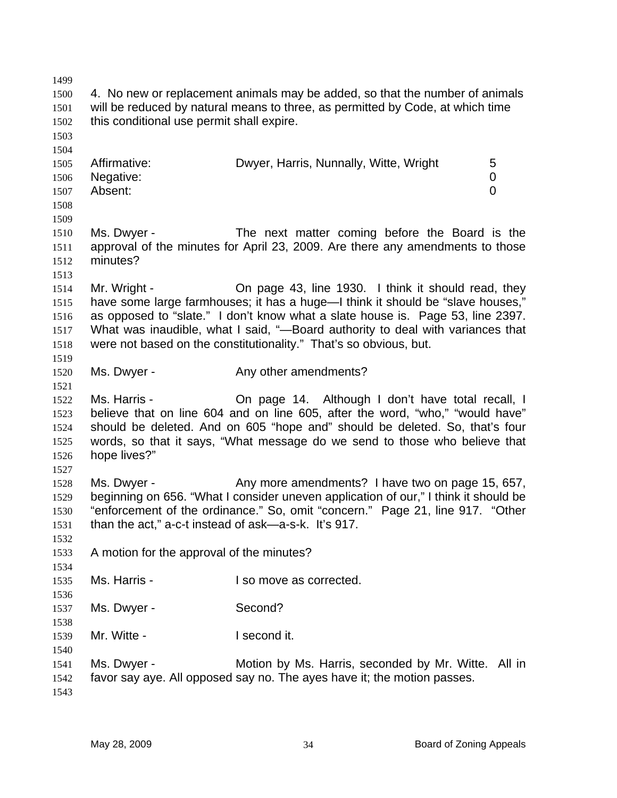1499 1500 1501 1502 1503 1504 1505 1506 1507 1508 1509 1510 1511 1512 1513 1514 1515 1516 1517 1518 1519 1520 1521 1522 1523 1524 1525 1526 1527 1528 1529 1530 1531 1532 1533 1534 1535 1536 1537 1538 1539 1540 1541 1542 1543 4. No new or replacement animals may be added, so that the number of animals will be reduced by natural means to three, as permitted by Code, at which time this conditional use permit shall expire. Affirmative: Dwyer, Harris, Nunnally, Witte, Wright 5 Negative: 0 Absent: 0 Ms. Dwyer - The next matter coming before the Board is the approval of the minutes for April 23, 2009. Are there any amendments to those minutes? Mr. Wright - Chemissipe 43, line 1930. I think it should read, they have some large farmhouses; it has a huge—I think it should be "slave houses," as opposed to "slate." I don't know what a slate house is. Page 53, line 2397. What was inaudible, what I said, "-Board authority to deal with variances that were not based on the constitutionality." That's so obvious, but. Ms. Dwyer - The Any other amendments? Ms. Harris - On page 14. Although I don't have total recall, I believe that on line 604 and on line 605, after the word, "who," "would have" should be deleted. And on 605 "hope and" should be deleted. So, that's four words, so that it says, "What message do we send to those who believe that hope lives?" Ms. Dwyer - The Any more amendments? I have two on page 15, 657, beginning on 656. "What I consider uneven application of our," I think it should be "enforcement of the ordinance." So, omit "concern." Page 21, line 917. "Other than the act," a-c-t instead of ask—a-s-k. It's 917. A motion for the approval of the minutes? Ms. Harris - The Music of The I so move as corrected. Ms. Dwyer - Second? Mr. Witte - **I second it.** Ms. Dwyer - Motion by Ms. Harris, seconded by Mr. Witte. All in favor say aye. All opposed say no. The ayes have it; the motion passes.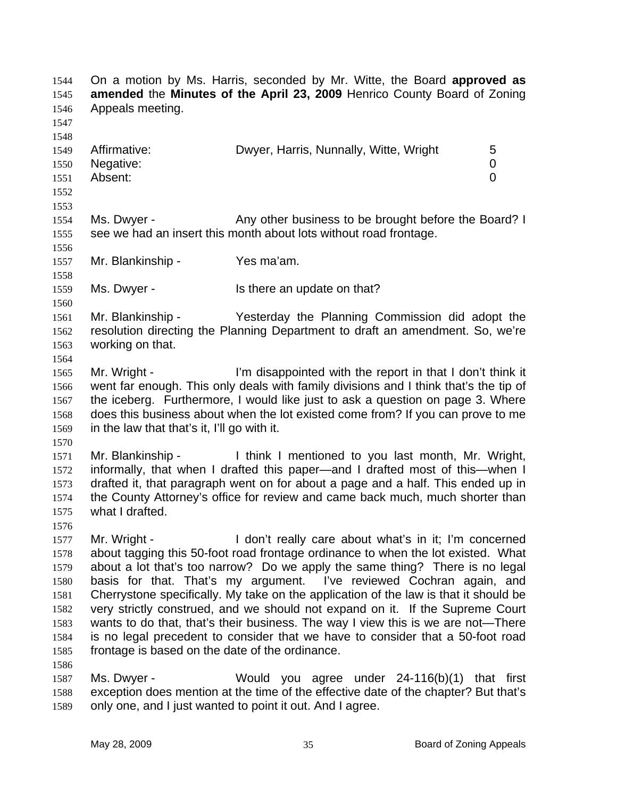On a motion by Ms. Harris, seconded by Mr. Witte, the Board **approved as amended** the **Minutes of the April 23, 2009** Henrico County Board of Zoning Appeals meeting. 1544 1545 1546 1547 1548 1549 1550 1551 1552 1553 1554 1555 1556 1557 1558 1559 1560 1561 1562 1563 1564 1565 1566 1567 1568 1569 1570 1571 1572 1573 1574 1575 1576 1577 1578 1579 1580 1581 1582 1583 1584 1585 1586 1587 1588 Affirmative: **Dwyer, Harris, Nunnally, Witte, Wright** 5 Negative: 0 Absent: 0 Ms. Dwyer - The Any other business to be brought before the Board? I see we had an insert this month about lots without road frontage. Mr. Blankinship - Yes ma'am. Ms. Dwyer - Is there an update on that? Mr. Blankinship - Yesterday the Planning Commission did adopt the resolution directing the Planning Department to draft an amendment. So, we're working on that. Mr. Wright - I'm disappointed with the report in that I don't think it went far enough. This only deals with family divisions and I think that's the tip of the iceberg. Furthermore, I would like just to ask a question on page 3. Where does this business about when the lot existed come from? If you can prove to me in the law that that's it, I'll go with it. Mr. Blankinship - I think I mentioned to you last month, Mr. Wright, informally, that when I drafted this paper—and I drafted most of this—when I drafted it, that paragraph went on for about a page and a half. This ended up in the County Attorney's office for review and came back much, much shorter than what I drafted. Mr. Wright - I don't really care about what's in it; I'm concerned about tagging this 50-foot road frontage ordinance to when the lot existed. What about a lot that's too narrow? Do we apply the same thing? There is no legal basis for that. That's my argument. I've reviewed Cochran again, and Cherrystone specifically. My take on the application of the law is that it should be very strictly construed, and we should not expand on it. If the Supreme Court wants to do that, that's their business. The way I view this is we are not—There is no legal precedent to consider that we have to consider that a 50-foot road frontage is based on the date of the ordinance. Ms. Dwyer - Would you agree under 24-116(b)(1) that first exception does mention at the time of the effective date of the chapter? But that's

1589 only one, and I just wanted to point it out. And I agree.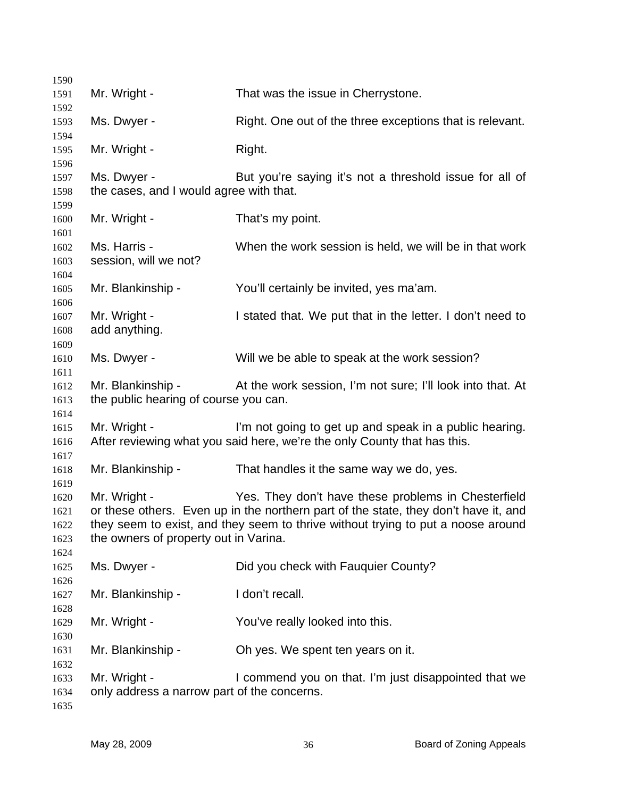| 1590         |                                             |                                                                                     |
|--------------|---------------------------------------------|-------------------------------------------------------------------------------------|
| 1591         | Mr. Wright -                                | That was the issue in Cherrystone.                                                  |
| 1592         |                                             |                                                                                     |
| 1593         | Ms. Dwyer -                                 | Right. One out of the three exceptions that is relevant.                            |
| 1594<br>1595 | Mr. Wright -                                | Right.                                                                              |
| 1596         |                                             |                                                                                     |
| 1597         | Ms. Dwyer -                                 | But you're saying it's not a threshold issue for all of                             |
| 1598         | the cases, and I would agree with that.     |                                                                                     |
| 1599         |                                             |                                                                                     |
| 1600         | Mr. Wright -                                | That's my point.                                                                    |
| 1601         |                                             |                                                                                     |
| 1602         | Ms. Harris -                                | When the work session is held, we will be in that work                              |
| 1603         | session, will we not?                       |                                                                                     |
| 1604         |                                             |                                                                                     |
| 1605         | Mr. Blankinship -                           | You'll certainly be invited, yes ma'am.                                             |
| 1606         |                                             |                                                                                     |
| 1607         | Mr. Wright -                                | I stated that. We put that in the letter. I don't need to                           |
| 1608         | add anything.                               |                                                                                     |
| 1609         |                                             |                                                                                     |
| 1610         | Ms. Dwyer -                                 | Will we be able to speak at the work session?                                       |
| 1611         |                                             |                                                                                     |
| 1612         | Mr. Blankinship -                           | At the work session, I'm not sure; I'll look into that. At                          |
| 1613         | the public hearing of course you can.       |                                                                                     |
| 1614<br>1615 | Mr. Wright -                                | I'm not going to get up and speak in a public hearing.                              |
| 1616         |                                             | After reviewing what you said here, we're the only County that has this.            |
| 1617         |                                             |                                                                                     |
| 1618         | Mr. Blankinship -                           | That handles it the same way we do, yes.                                            |
| 1619         |                                             |                                                                                     |
| 1620         | Mr. Wright -                                | Yes. They don't have these problems in Chesterfield                                 |
| 1621         |                                             | or these others. Even up in the northern part of the state, they don't have it, and |
| 1622         |                                             | they seem to exist, and they seem to thrive without trying to put a noose around    |
| 1623         | the owners of property out in Varina.       |                                                                                     |
| 1624         |                                             |                                                                                     |
| 1625         | Ms. Dwyer -                                 | Did you check with Fauquier County?                                                 |
| 1626         |                                             |                                                                                     |
| 1627         | Mr. Blankinship -                           | I don't recall.                                                                     |
| 1628         |                                             |                                                                                     |
| 1629         | Mr. Wright -                                | You've really looked into this.                                                     |
| 1630         |                                             |                                                                                     |
| 1631         | Mr. Blankinship -                           | Oh yes. We spent ten years on it.                                                   |
| 1632<br>1633 | Mr. Wright -                                | I commend you on that. I'm just disappointed that we                                |
| 1634         | only address a narrow part of the concerns. |                                                                                     |
| 1635         |                                             |                                                                                     |
|              |                                             |                                                                                     |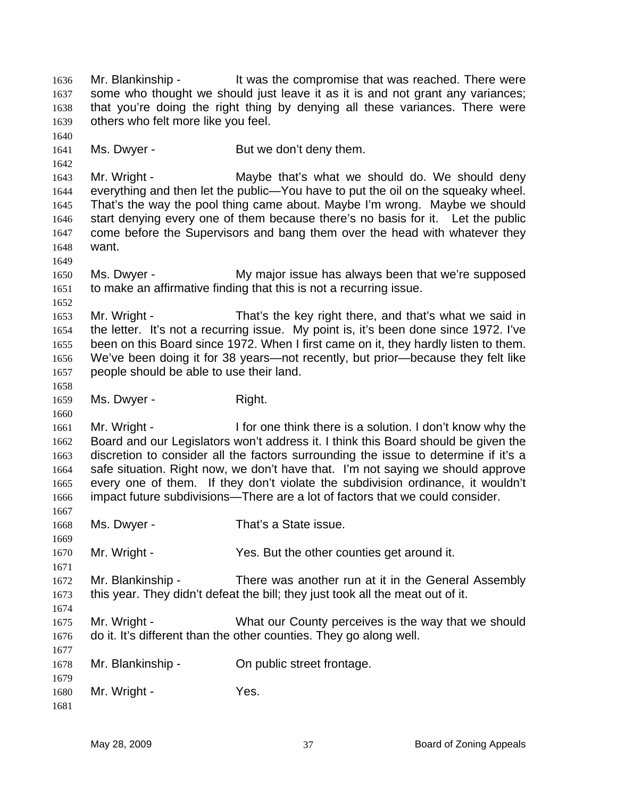Mr. Blankinship - The View of the compromise that was reached. There were some who thought we should just leave it as it is and not grant any variances; that you're doing the right thing by denying all these variances. There were others who felt more like you feel. 1636 1637 1638 1639 1640 1641 1642 1643 1644 1645 1646 1647 1648 1649 1650 1651 1652 1653 1654 1655 1656 1657 1658 1659 1660 1661 1662 1663 1664 1665 1666 1667 1668 1669 1670 1671 1672 1673 1674 1675 1676 1677 1678 1679 1680 1681 Ms. Dwyer - But we don't deny them. Mr. Wright - The Maybe that's what we should do. We should deny everything and then let the public—You have to put the oil on the squeaky wheel. That's the way the pool thing came about. Maybe I'm wrong. Maybe we should start denying every one of them because there's no basis for it. Let the public come before the Supervisors and bang them over the head with whatever they want. Ms. Dwyer - The My major issue has always been that we're supposed to make an affirmative finding that this is not a recurring issue. Mr. Wright - That's the key right there, and that's what we said in the letter. It's not a recurring issue. My point is, it's been done since 1972. I've been on this Board since 1972. When I first came on it, they hardly listen to them. We've been doing it for 38 years—not recently, but prior—because they felt like people should be able to use their land. Ms. Dwyer - Right. Mr. Wright - I for one think there is a solution. I don't know why the Board and our Legislators won't address it. I think this Board should be given the discretion to consider all the factors surrounding the issue to determine if it's a safe situation. Right now, we don't have that. I'm not saying we should approve every one of them. If they don't violate the subdivision ordinance, it wouldn't impact future subdivisions—There are a lot of factors that we could consider. Ms. Dwyer - That's a State issue. Mr. Wright - Yes. But the other counties get around it. Mr. Blankinship - There was another run at it in the General Assembly this year. They didn't defeat the bill; they just took all the meat out of it. Mr. Wright - What our County perceives is the way that we should do it. It's different than the other counties. They go along well. Mr. Blankinship - On public street frontage. Mr. Wright - Yes.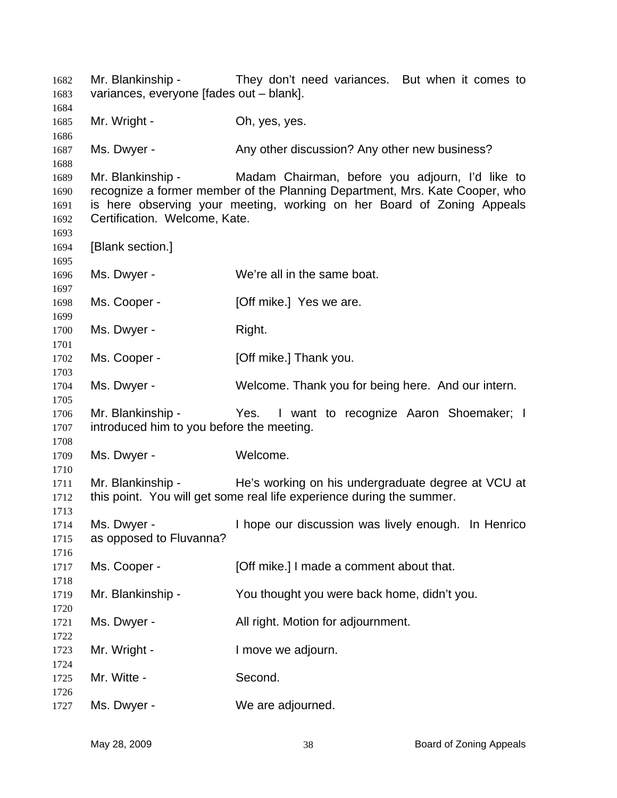Mr. Blankinship - They don't need variances. But when it comes to variances, everyone [fades out – blank]. Mr. Wright - Ch, yes, yes. Ms. Dwyer - Any other discussion? Any other new business? Mr. Blankinship - Madam Chairman, before you adjourn, I'd like to recognize a former member of the Planning Department, Mrs. Kate Cooper, who is here observing your meeting, working on her Board of Zoning Appeals Certification. Welcome, Kate. [Blank section.] Ms. Dwyer - We're all in the same boat. Ms. Cooper - **[Off mike.]** Yes we are. Ms. Dwyer - Right. Ms. Cooper - [Off mike.] Thank you. Ms. Dwyer - Welcome. Thank you for being here. And our intern. Mr. Blankinship - Yes. I want to recognize Aaron Shoemaker; I introduced him to you before the meeting. Ms. Dwyer - Welcome. Mr. Blankinship - He's working on his undergraduate degree at VCU at this point. You will get some real life experience during the summer. Ms. Dwyer - Thope our discussion was lively enough. In Henrico as opposed to Fluvanna? Ms. Cooper - [Off mike.] I made a comment about that. Mr. Blankinship - You thought you were back home, didn't you. Ms. Dwyer - **All right. Motion for adjournment.** Mr. Wright - The Music Control of the University of Mr. Wright -Mr. Witte - Second. Ms. Dwyer - We are adjourned.